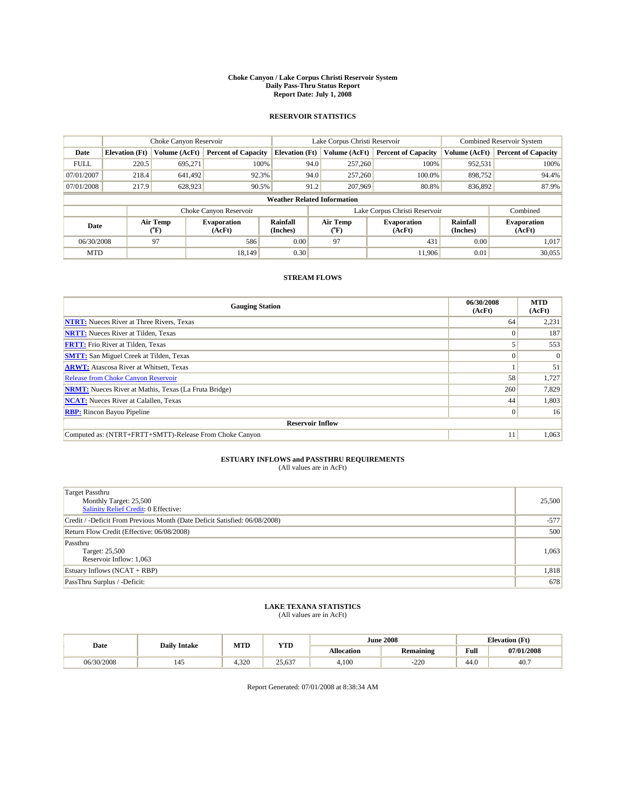#### **Choke Canyon / Lake Corpus Christi Reservoir System Daily Pass-Thru Status Report Report Date: July 1, 2008**

#### **RESERVOIR STATISTICS**

|             | Choke Canyon Reservoir             |                  |                              |                             | Lake Corpus Christi Reservoir |                  |                               |                             | <b>Combined Reservoir System</b> |  |  |
|-------------|------------------------------------|------------------|------------------------------|-----------------------------|-------------------------------|------------------|-------------------------------|-----------------------------|----------------------------------|--|--|
| Date        | <b>Elevation</b> (Ft)              | Volume (AcFt)    | <b>Percent of Capacity</b>   | <b>Elevation</b> (Ft)       |                               | Volume (AcFt)    | <b>Percent of Capacity</b>    | Volume (AcFt)               | <b>Percent of Capacity</b>       |  |  |
| <b>FULL</b> | 220.5                              | 695,271          | 100%                         |                             | 94.0                          | 257,260          | 100%                          | 952,531                     | 100%                             |  |  |
| 07/01/2007  | 218.4                              | 641.492          | 92.3%                        |                             | 94.0                          | 257,260          | 100.0%                        | 898,752                     | 94.4%                            |  |  |
| 07/01/2008  | 217.9                              | 628.923          | 90.5%                        |                             | 91.2                          | 207,969          | 80.8%                         | 836,892                     | 87.9%                            |  |  |
|             | <b>Weather Related Information</b> |                  |                              |                             |                               |                  |                               |                             |                                  |  |  |
|             |                                    |                  | Choke Canyon Reservoir       |                             |                               |                  | Lake Corpus Christi Reservoir |                             | Combined                         |  |  |
| Date        |                                    | Air Temp<br>(°F) | <b>Evaporation</b><br>(AcFt) | <b>Rainfall</b><br>(Inches) |                               | Air Temp<br>(°F) | <b>Evaporation</b><br>(AcFt)  | <b>Rainfall</b><br>(Inches) | <b>Evaporation</b><br>(AcFt)     |  |  |
| 06/30/2008  |                                    | 97               | 586                          | 0.00                        |                               | 97               | 431                           | 0.00                        | 1,017                            |  |  |
| <b>MTD</b>  |                                    |                  | 18.149                       | 0.30                        |                               |                  | 11.906                        | 0.01                        | 30,055                           |  |  |

### **STREAM FLOWS**

| <b>Gauging Station</b>                                       | 06/30/2008<br>(AcFt) | <b>MTD</b><br>(AcFt) |  |  |  |  |
|--------------------------------------------------------------|----------------------|----------------------|--|--|--|--|
| <b>NTRT:</b> Nueces River at Three Rivers, Texas             | 64                   | 2,231                |  |  |  |  |
| <b>NRTT:</b> Nueces River at Tilden, Texas                   | $\Omega$             | 187                  |  |  |  |  |
| <b>FRTT:</b> Frio River at Tilden, Texas                     |                      | 553                  |  |  |  |  |
| <b>SMTT:</b> San Miguel Creek at Tilden, Texas               | $\Omega$             | $\Omega$             |  |  |  |  |
| <b>ARWT:</b> Atascosa River at Whitsett, Texas               |                      | 51                   |  |  |  |  |
| <b>Release from Choke Canyon Reservoir</b>                   | 58                   | 1,727                |  |  |  |  |
| <b>NRMT:</b> Nueces River at Mathis, Texas (La Fruta Bridge) | 260                  | 7,829                |  |  |  |  |
| <b>NCAT:</b> Nueces River at Calallen, Texas                 | 44                   | 1,803                |  |  |  |  |
| <b>RBP:</b> Rincon Bayou Pipeline                            | $\overline{0}$       | 16                   |  |  |  |  |
| <b>Reservoir Inflow</b>                                      |                      |                      |  |  |  |  |
| Computed as: (NTRT+FRTT+SMTT)-Release From Choke Canyon      | 11                   | 1,063                |  |  |  |  |

# **ESTUARY INFLOWS and PASSTHRU REQUIREMENTS**<br>(All values are in AcFt)

| Target Passthru<br>Monthly Target: 25,500<br>Salinity Relief Credit: 0 Effective: | 25,500 |
|-----------------------------------------------------------------------------------|--------|
| Credit / -Deficit From Previous Month (Date Deficit Satisfied: 06/08/2008)        | $-577$ |
| Return Flow Credit (Effective: 06/08/2008)                                        | 500    |
| Passthru<br>Target: 25,500<br>Reservoir Inflow: 1,063                             | 1,063  |
| Estuary Inflows $(NCAT + RBP)$                                                    | 1,818  |
| PassThru Surplus / -Deficit:                                                      | 678    |

# **LAKE TEXANA STATISTICS** (All values are in AcFt)

| Date       | <b>Daily Intake</b> | MTD   | <b>YTD</b>             | <b>June 2008</b>  |                  | <b>Elevation</b> (Ft) |            |
|------------|---------------------|-------|------------------------|-------------------|------------------|-----------------------|------------|
|            |                     |       |                        | <b>Allocation</b> | <b>Remaining</b> | Full                  | 07/01/2008 |
| 06/30/2008 | 145                 | 4.320 | $\sim$<br>25.<br>25,63 | 4.100             | $\sim$<br>-220   | 44.0                  | 40.7       |

Report Generated: 07/01/2008 at 8:38:34 AM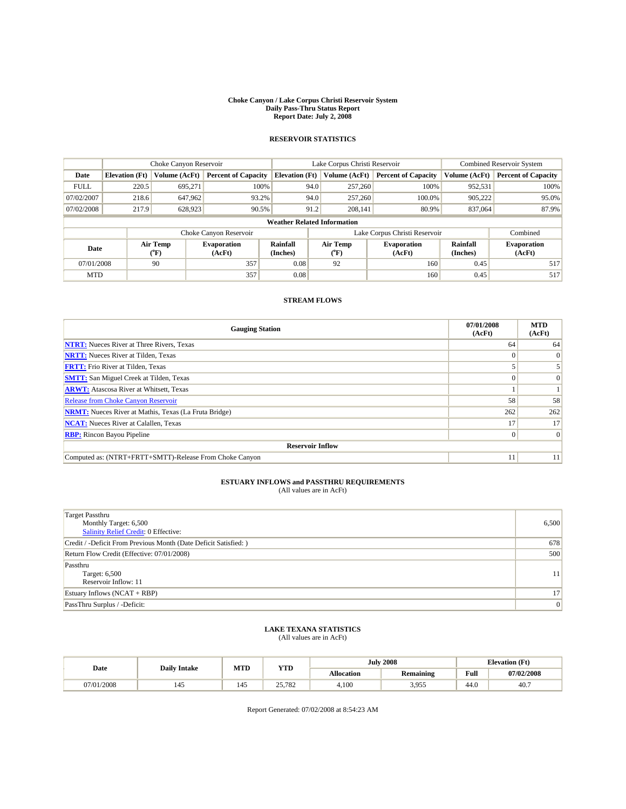#### **Choke Canyon / Lake Corpus Christi Reservoir System Daily Pass-Thru Status Report Report Date: July 2, 2008**

### **RESERVOIR STATISTICS**

|                                    |                       | Choke Canyon Reservoir |                              |                       | Lake Corpus Christi Reservoir    | <b>Combined Reservoir System</b> |                      |                              |
|------------------------------------|-----------------------|------------------------|------------------------------|-----------------------|----------------------------------|----------------------------------|----------------------|------------------------------|
| Date                               | <b>Elevation</b> (Ft) | Volume (AcFt)          | <b>Percent of Capacity</b>   | <b>Elevation</b> (Ft) | Volume (AcFt)                    | <b>Percent of Capacity</b>       | Volume (AcFt)        | <b>Percent of Capacity</b>   |
| <b>FULL</b>                        | 220.5                 | 695.271                | 100%                         | 94.0                  | 257,260                          | 100%                             | 952,531              | 100%                         |
| 07/02/2007                         | 218.6                 | 647.962                | 93.2%                        | 94.0                  | 257,260                          | 100.0%                           | 905,222              | 95.0%                        |
| 07/02/2008                         | 217.9                 | 628,923                | 90.5%                        | 91.2                  | 208,141                          | 80.9%                            | 837,064              | 87.9%                        |
| <b>Weather Related Information</b> |                       |                        |                              |                       |                                  |                                  |                      |                              |
|                                    |                       |                        | Choke Canyon Reservoir       |                       |                                  | Lake Corpus Christi Reservoir    |                      | Combined                     |
| Date                               |                       | Air Temp<br>(°F)       | <b>Evaporation</b><br>(AcFt) | Rainfall<br>(Inches)  | <b>Air Temp</b><br>$(^{\circ}F)$ | <b>Evaporation</b><br>(AcFt)     | Rainfall<br>(Inches) | <b>Evaporation</b><br>(AcFt) |
| 07/01/2008                         |                       | 90                     | 357                          | 0.08                  | 92                               | 160                              | 0.45                 | 517                          |
| <b>MTD</b>                         |                       |                        | 357                          | 0.08                  |                                  | 160                              | 0.45                 | 517                          |

### **STREAM FLOWS**

| <b>Gauging Station</b>                                       | 07/01/2008<br>(AcFt) | <b>MTD</b><br>(AcFt) |  |  |  |
|--------------------------------------------------------------|----------------------|----------------------|--|--|--|
| <b>NTRT:</b> Nueces River at Three Rivers, Texas             | 64                   | 64                   |  |  |  |
| <b>NRTT:</b> Nueces River at Tilden, Texas                   |                      | $\vert 0 \vert$      |  |  |  |
| <b>FRTT:</b> Frio River at Tilden, Texas                     |                      |                      |  |  |  |
| <b>SMTT:</b> San Miguel Creek at Tilden, Texas               |                      | $\Omega$             |  |  |  |
| <b>ARWT:</b> Atascosa River at Whitsett, Texas               |                      |                      |  |  |  |
| <b>Release from Choke Canyon Reservoir</b>                   | 58                   | 58                   |  |  |  |
| <b>NRMT:</b> Nueces River at Mathis, Texas (La Fruta Bridge) | 262                  | 262                  |  |  |  |
| <b>NCAT:</b> Nueces River at Calallen, Texas                 | 17                   | 17                   |  |  |  |
| <b>RBP:</b> Rincon Bayou Pipeline                            | 0                    | $\vert 0 \vert$      |  |  |  |
| <b>Reservoir Inflow</b>                                      |                      |                      |  |  |  |
| Computed as: (NTRT+FRTT+SMTT)-Release From Choke Canyon      | 11                   | 11                   |  |  |  |

## **ESTUARY INFLOWS and PASSTHRU REQUIREMENTS**<br>(All values are in AcFt)

| <b>Target Passthru</b><br>Monthly Target: 6,500<br>Salinity Relief Credit: 0 Effective: | 6,500           |
|-----------------------------------------------------------------------------------------|-----------------|
| Credit / -Deficit From Previous Month (Date Deficit Satisfied: )                        | 678             |
| Return Flow Credit (Effective: 07/01/2008)                                              | 500             |
| Passthru<br>Target: 6,500<br>Reservoir Inflow: 11                                       | 11 <sup>1</sup> |
| Estuary Inflows $(NCAT + RBP)$                                                          | 17 <sup>1</sup> |
| PassThru Surplus / -Deficit:                                                            | 0               |

## **LAKE TEXANA STATISTICS** (All values are in AcFt)

| Date     | <b>Daily Intake</b> | MTD | <b>VTT</b><br>1 L.D | <b>July 2008</b> |           | <b>Elevation</b> (Ft) |            |
|----------|---------------------|-----|---------------------|------------------|-----------|-----------------------|------------|
|          |                     |     |                     | Allocation       | Remaining | Full                  | 07/02/2008 |
| /01/2008 | 145                 | 145 | 25701<br>25,182     | 4,100            | 3,955     | 44.0                  | 40.        |

Report Generated: 07/02/2008 at 8:54:23 AM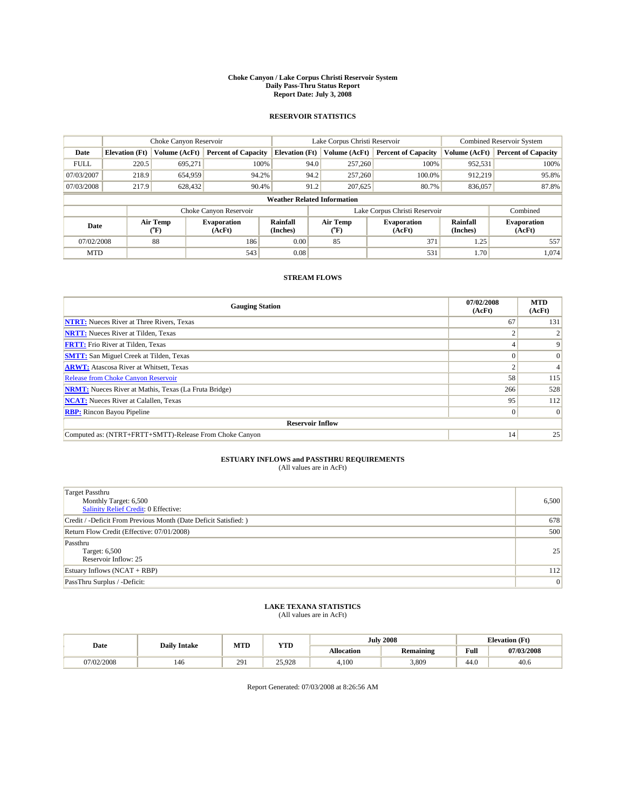#### **Choke Canyon / Lake Corpus Christi Reservoir System Daily Pass-Thru Status Report Report Date: July 3, 2008**

#### **RESERVOIR STATISTICS**

|             | Choke Canyon Reservoir             |                  |                              |                             | Lake Corpus Christi Reservoir | <b>Combined Reservoir System</b> |                      |                              |  |
|-------------|------------------------------------|------------------|------------------------------|-----------------------------|-------------------------------|----------------------------------|----------------------|------------------------------|--|
| Date        | <b>Elevation</b> (Ft)              | Volume (AcFt)    | <b>Percent of Capacity</b>   | <b>Elevation</b> (Ft)       | Volume (AcFt)                 | <b>Percent of Capacity</b>       | Volume (AcFt)        | <b>Percent of Capacity</b>   |  |
| <b>FULL</b> | 220.5                              | 695,271          | 100%                         | 94.0                        | 257,260                       | 100%                             | 952,531              | 100%                         |  |
| 07/03/2007  | 218.9                              | 654,959          | 94.2%                        | 94.2                        | 257,260                       | 100.0%                           | 912,219              | 95.8%                        |  |
| 07/03/2008  | 217.9                              | 628,432          | 90.4%                        | 91.2                        | 207,625                       | 80.7%                            | 836,057              | 87.8%                        |  |
|             | <b>Weather Related Information</b> |                  |                              |                             |                               |                                  |                      |                              |  |
|             |                                    |                  | Choke Canyon Reservoir       |                             |                               | Lake Corpus Christi Reservoir    |                      | Combined                     |  |
| Date        |                                    | Air Temp<br>(°F) | <b>Evaporation</b><br>(AcFt) | <b>Rainfall</b><br>(Inches) | Air Temp<br>(°F)              | <b>Evaporation</b><br>(AcFt)     | Rainfall<br>(Inches) | <b>Evaporation</b><br>(AcFt) |  |
| 07/02/2008  |                                    | 88               | 186                          | 0.00                        | 85                            | 371                              | 1.25                 | 557                          |  |
| <b>MTD</b>  |                                    |                  | 543                          | 0.08                        |                               | 531                              | 1.70                 | 1.074                        |  |

### **STREAM FLOWS**

| <b>Gauging Station</b>                                       | 07/02/2008<br>(AcFt) | <b>MTD</b><br>(AcFt) |  |  |  |  |
|--------------------------------------------------------------|----------------------|----------------------|--|--|--|--|
| <b>NTRT:</b> Nueces River at Three Rivers, Texas             | 67                   | 131                  |  |  |  |  |
| <b>NRTT:</b> Nueces River at Tilden, Texas                   |                      |                      |  |  |  |  |
| <b>FRTT:</b> Frio River at Tilden, Texas                     |                      | 9                    |  |  |  |  |
| <b>SMTT:</b> San Miguel Creek at Tilden, Texas               |                      | $\Omega$             |  |  |  |  |
| <b>ARWT:</b> Atascosa River at Whitsett, Texas               |                      |                      |  |  |  |  |
| <b>Release from Choke Canyon Reservoir</b>                   | 58                   | 115                  |  |  |  |  |
| <b>NRMT:</b> Nueces River at Mathis, Texas (La Fruta Bridge) | 266                  | 528                  |  |  |  |  |
| <b>NCAT:</b> Nueces River at Calallen, Texas                 | 95                   | 112                  |  |  |  |  |
| <b>RBP:</b> Rincon Bayou Pipeline                            | $\overline{0}$       | $\Omega$             |  |  |  |  |
| <b>Reservoir Inflow</b>                                      |                      |                      |  |  |  |  |
| Computed as: (NTRT+FRTT+SMTT)-Release From Choke Canyon      | 14                   | 25                   |  |  |  |  |

# **ESTUARY INFLOWS and PASSTHRU REQUIREMENTS**<br>(All values are in AcFt)

| <b>Target Passthru</b><br>Monthly Target: 6,500<br><b>Salinity Relief Credit: 0 Effective:</b> | 6,500 |
|------------------------------------------------------------------------------------------------|-------|
| Credit / -Deficit From Previous Month (Date Deficit Satisfied: )                               | 678   |
| Return Flow Credit (Effective: 07/01/2008)                                                     | 500   |
| Passthru<br>Target: 6,500<br>Reservoir Inflow: 25                                              | 25    |
| Estuary Inflows (NCAT + RBP)                                                                   | 112   |
| PassThru Surplus / -Deficit:                                                                   | 0     |

# **LAKE TEXANA STATISTICS** (All values are in AcFt)

|            | <b>Daily Intake</b> | MTD | <b>YTD</b> |                   | <b>July 2008</b> | <b>Elevation</b> (Ft)                       |            |
|------------|---------------------|-----|------------|-------------------|------------------|---------------------------------------------|------------|
| Date       |                     |     |            | <b>Allocation</b> | <b>Remaining</b> | Full<br>the contract of the contract of the | 07/03/2008 |
| 07/02/2008 | 146                 | 291 | 25,928     | 4.100             | 3,809            | 44.0                                        | 40.6       |

Report Generated: 07/03/2008 at 8:26:56 AM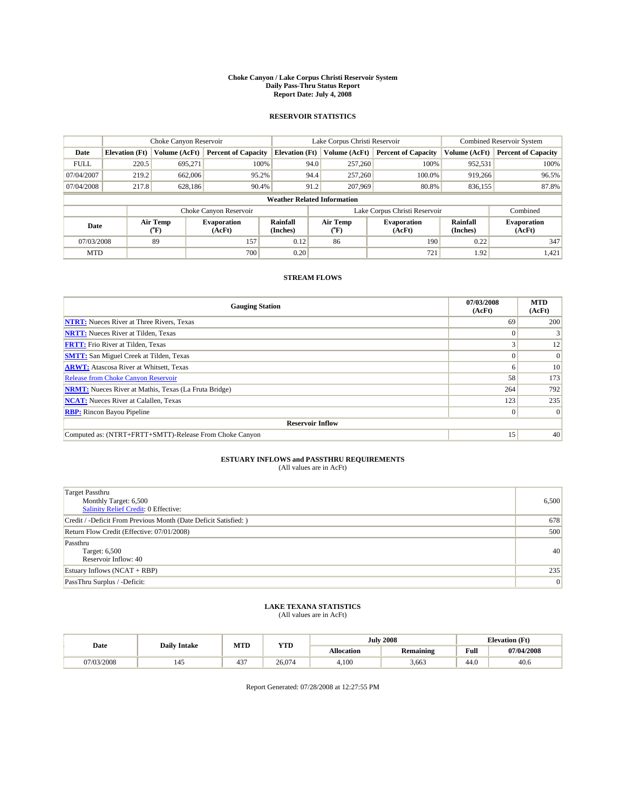#### **Choke Canyon / Lake Corpus Christi Reservoir System Daily Pass-Thru Status Report Report Date: July 4, 2008**

#### **RESERVOIR STATISTICS**

|             | Choke Canyon Reservoir             |                  |                              |                             | Lake Corpus Christi Reservoir | <b>Combined Reservoir System</b> |                      |                              |  |
|-------------|------------------------------------|------------------|------------------------------|-----------------------------|-------------------------------|----------------------------------|----------------------|------------------------------|--|
| Date        | <b>Elevation</b> (Ft)              | Volume (AcFt)    | <b>Percent of Capacity</b>   | <b>Elevation</b> (Ft)       | Volume (AcFt)                 | <b>Percent of Capacity</b>       | Volume (AcFt)        | <b>Percent of Capacity</b>   |  |
| <b>FULL</b> | 220.5                              | 695,271          | 100%                         | 94.0                        | 257,260                       | 100%                             | 952,531              | 100%                         |  |
| 07/04/2007  | 219.2                              | 662,006          | 95.2%                        | 94.4                        | 257,260                       | 100.0%                           | 919,266              | 96.5%                        |  |
| 07/04/2008  | 217.8                              | 628,186          | 90.4%                        | 91.2                        | 207,969                       | 80.8%                            | 836,155              | 87.8%                        |  |
|             | <b>Weather Related Information</b> |                  |                              |                             |                               |                                  |                      |                              |  |
|             |                                    |                  | Choke Canyon Reservoir       |                             | Lake Corpus Christi Reservoir |                                  | Combined             |                              |  |
| Date        |                                    | Air Temp<br>(°F) | <b>Evaporation</b><br>(AcFt) | <b>Rainfall</b><br>(Inches) | Air Temp<br>(°F)              | <b>Evaporation</b><br>(AcFt)     | Rainfall<br>(Inches) | <b>Evaporation</b><br>(AcFt) |  |
| 07/03/2008  |                                    | 89               | 157                          | 0.12                        | 86                            | 190                              | 0.22                 | 347                          |  |
| <b>MTD</b>  |                                    |                  | 700                          | 0.20                        |                               | 721                              | 1.92                 | 1,421                        |  |

### **STREAM FLOWS**

| <b>Gauging Station</b>                                       | 07/03/2008<br>(AcFt) | <b>MTD</b><br>(AcFt) |  |  |  |  |  |
|--------------------------------------------------------------|----------------------|----------------------|--|--|--|--|--|
| <b>NTRT:</b> Nueces River at Three Rivers, Texas             | 69                   | 200                  |  |  |  |  |  |
| <b>NRTT:</b> Nueces River at Tilden, Texas                   | $\Omega$             |                      |  |  |  |  |  |
| <b>FRTT:</b> Frio River at Tilden, Texas                     |                      | 12                   |  |  |  |  |  |
| <b>SMTT:</b> San Miguel Creek at Tilden, Texas               |                      | $\Omega$             |  |  |  |  |  |
| <b>ARWT:</b> Atascosa River at Whitsett, Texas               | <sub>0</sub>         | 10                   |  |  |  |  |  |
| <b>Release from Choke Canyon Reservoir</b>                   | 58                   | 173                  |  |  |  |  |  |
| <b>NRMT:</b> Nueces River at Mathis, Texas (La Fruta Bridge) | 264                  | 792                  |  |  |  |  |  |
| <b>NCAT:</b> Nueces River at Calallen, Texas                 | 123                  | 235                  |  |  |  |  |  |
| <b>RBP:</b> Rincon Bayou Pipeline                            | $\vert 0 \vert$      | $\Omega$             |  |  |  |  |  |
| <b>Reservoir Inflow</b>                                      |                      |                      |  |  |  |  |  |
| Computed as: (NTRT+FRTT+SMTT)-Release From Choke Canyon      | 15 <sup>7</sup>      | 40                   |  |  |  |  |  |

# **ESTUARY INFLOWS and PASSTHRU REQUIREMENTS**<br>(All values are in AcFt)

| <b>Target Passthru</b><br>Monthly Target: 6,500<br><b>Salinity Relief Credit: 0 Effective:</b> | 6,500 |
|------------------------------------------------------------------------------------------------|-------|
| Credit / -Deficit From Previous Month (Date Deficit Satisfied: )                               | 678   |
| Return Flow Credit (Effective: 07/01/2008)                                                     | 500   |
| Passthru<br>Target: 6,500<br>Reservoir Inflow: 40                                              | 40    |
| Estuary Inflows (NCAT + RBP)                                                                   | 235   |
| PassThru Surplus / -Deficit:                                                                   | 0     |

# **LAKE TEXANA STATISTICS** (All values are in AcFt)

|            | <b>Daily Intake</b> | MTD | <b>YTD</b> |            | <b>July 2008</b> | <b>Elevation</b> (Ft)      |            |
|------------|---------------------|-----|------------|------------|------------------|----------------------------|------------|
| Date       |                     |     |            | Allocation | <b>Remaining</b> | Full                       | 07/04/2008 |
| )7/03/2008 | 145                 | 437 | 26,074     | 4,100      | 3.663            | $\Lambda$ $\Omega$<br>44.0 | 40.6       |

Report Generated: 07/28/2008 at 12:27:55 PM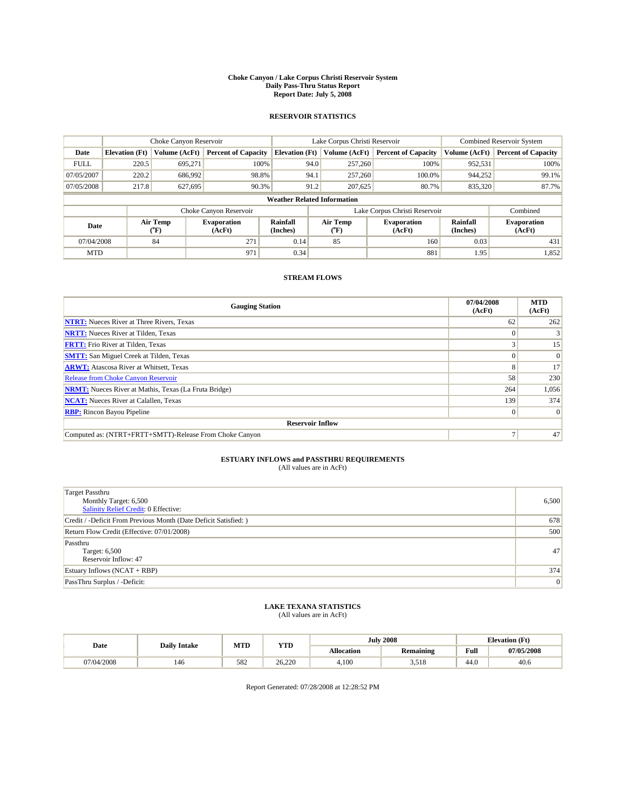#### **Choke Canyon / Lake Corpus Christi Reservoir System Daily Pass-Thru Status Report Report Date: July 5, 2008**

#### **RESERVOIR STATISTICS**

|             | Choke Canyon Reservoir             |                  |                              |                             | Lake Corpus Christi Reservoir | <b>Combined Reservoir System</b> |                      |                              |  |
|-------------|------------------------------------|------------------|------------------------------|-----------------------------|-------------------------------|----------------------------------|----------------------|------------------------------|--|
| Date        | <b>Elevation</b> (Ft)              | Volume (AcFt)    | <b>Percent of Capacity</b>   | <b>Elevation</b> (Ft)       | Volume (AcFt)                 | <b>Percent of Capacity</b>       | Volume (AcFt)        | <b>Percent of Capacity</b>   |  |
| <b>FULL</b> | 220.5                              | 695,271          | 100%                         | 94.0                        | 257,260                       | 100%                             | 952,531              | 100%                         |  |
| 07/05/2007  | 220.2                              | 686,992          | 98.8%                        | 94.1                        | 257,260                       | 100.0%                           | 944,252              | 99.1%                        |  |
| 07/05/2008  | 217.8                              | 627,695          | 90.3%                        | 91.2                        | 207,625                       | 80.7%                            | 835,320              | 87.7%                        |  |
|             | <b>Weather Related Information</b> |                  |                              |                             |                               |                                  |                      |                              |  |
|             |                                    |                  | Choke Canyon Reservoir       |                             |                               | Lake Corpus Christi Reservoir    |                      | Combined                     |  |
| Date        |                                    | Air Temp<br>(°F) | <b>Evaporation</b><br>(AcFt) | <b>Rainfall</b><br>(Inches) | Air Temp<br>(°F)              | <b>Evaporation</b><br>(AcFt)     | Rainfall<br>(Inches) | <b>Evaporation</b><br>(AcFt) |  |
| 07/04/2008  |                                    | 84               | 271                          | 0.14                        | 85                            | 160                              | 0.03                 | 431                          |  |
| <b>MTD</b>  |                                    |                  | 971                          | 0.34                        |                               | 881                              | 1.95                 | 1,852                        |  |

### **STREAM FLOWS**

| <b>Gauging Station</b>                                       | 07/04/2008<br>(AcFt) | <b>MTD</b><br>(AcFt) |  |  |  |  |
|--------------------------------------------------------------|----------------------|----------------------|--|--|--|--|
| <b>NTRT:</b> Nueces River at Three Rivers, Texas             | 62                   | 262                  |  |  |  |  |
| <b>NRTT:</b> Nueces River at Tilden, Texas                   |                      |                      |  |  |  |  |
| <b>FRTT:</b> Frio River at Tilden, Texas                     |                      | 15                   |  |  |  |  |
| <b>SMTT:</b> San Miguel Creek at Tilden, Texas               |                      | $\Omega$             |  |  |  |  |
| <b>ARWT:</b> Atascosa River at Whitsett, Texas               | 8                    | 17                   |  |  |  |  |
| Release from Choke Canyon Reservoir                          | 58                   | 230                  |  |  |  |  |
| <b>NRMT:</b> Nueces River at Mathis, Texas (La Fruta Bridge) | 264                  | 1,056                |  |  |  |  |
| <b>NCAT:</b> Nueces River at Calallen, Texas                 | 139                  | 374                  |  |  |  |  |
| <b>RBP:</b> Rincon Bayou Pipeline                            | $\Omega$             | $\Omega$             |  |  |  |  |
| <b>Reservoir Inflow</b>                                      |                      |                      |  |  |  |  |
| Computed as: (NTRT+FRTT+SMTT)-Release From Choke Canyon      |                      | 47                   |  |  |  |  |

# **ESTUARY INFLOWS and PASSTHRU REQUIREMENTS**<br>(All values are in AcFt)

| <b>Target Passthru</b><br>Monthly Target: 6,500<br>Salinity Relief Credit: 0 Effective: | 6,500 |
|-----------------------------------------------------------------------------------------|-------|
| Credit / -Deficit From Previous Month (Date Deficit Satisfied: )                        | 678   |
| Return Flow Credit (Effective: 07/01/2008)                                              | 500   |
| Passthru<br>Target: 6,500<br>Reservoir Inflow: 47                                       | 47    |
| Estuary Inflows (NCAT + RBP)                                                            | 374   |
| PassThru Surplus / -Deficit:                                                            | 0     |

# **LAKE TEXANA STATISTICS** (All values are in AcFt)

|            | <b>Daily Intake</b> | MTD | <b>YTD</b> |                   | <b>July 2008</b> | <b>Elevation</b> (Ft)                       |            |
|------------|---------------------|-----|------------|-------------------|------------------|---------------------------------------------|------------|
| Date       |                     |     |            | <b>Allocation</b> | <b>Remaining</b> | Full<br>the contract of the contract of the | 07/05/2008 |
| 07/04/2008 | 146                 | 582 | 26,220     | 4.100             | 510<br>5.JI 0    | 44.0                                        | 40.6       |

Report Generated: 07/28/2008 at 12:28:52 PM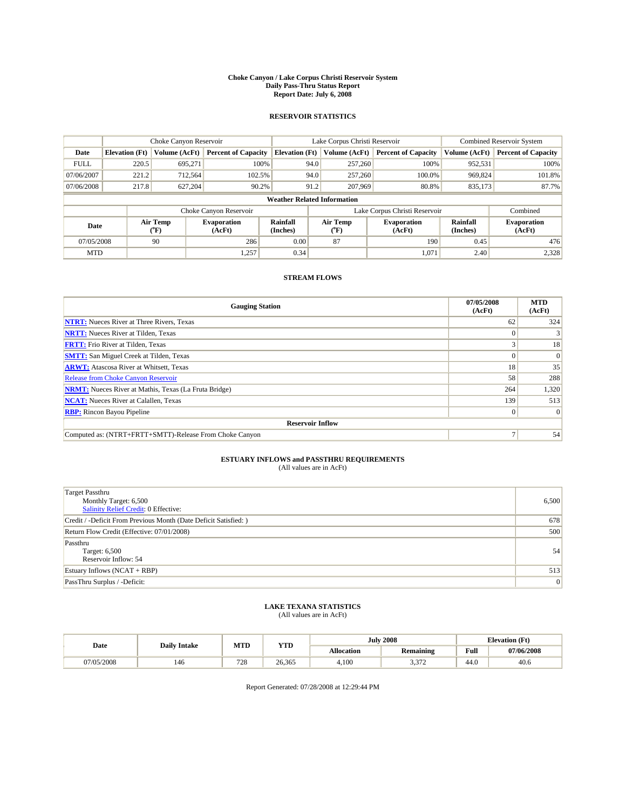#### **Choke Canyon / Lake Corpus Christi Reservoir System Daily Pass-Thru Status Report Report Date: July 6, 2008**

#### **RESERVOIR STATISTICS**

|             | Choke Canyon Reservoir             |                             |                              |                             | Lake Corpus Christi Reservoir | <b>Combined Reservoir System</b> |                      |                              |  |
|-------------|------------------------------------|-----------------------------|------------------------------|-----------------------------|-------------------------------|----------------------------------|----------------------|------------------------------|--|
| Date        | <b>Elevation</b> (Ft)              | Volume (AcFt)               | <b>Percent of Capacity</b>   | <b>Elevation</b> (Ft)       | Volume (AcFt)                 | <b>Percent of Capacity</b>       | Volume (AcFt)        | <b>Percent of Capacity</b>   |  |
| <b>FULL</b> | 220.5                              | 695,271                     | 100%                         | 94.0                        | 257,260                       | 100%                             | 952,531              | 100%                         |  |
| 07/06/2007  | 221.2                              | 712,564                     | 102.5%                       | 94.0                        | 257,260                       | 100.0%                           | 969,824              | 101.8%                       |  |
| 07/06/2008  | 217.8                              | 627,204                     | 90.2%                        | 91.2                        | 207,969                       | 80.8%                            | 835,173              | 87.7%                        |  |
|             | <b>Weather Related Information</b> |                             |                              |                             |                               |                                  |                      |                              |  |
|             |                                    |                             | Choke Canyon Reservoir       |                             |                               | Lake Corpus Christi Reservoir    |                      | Combined                     |  |
| Date        |                                    | Air Temp<br>${}^{\circ}$ F) | <b>Evaporation</b><br>(AcFt) | <b>Rainfall</b><br>(Inches) | Air Temp<br>$(^{\circ}F)$     | <b>Evaporation</b><br>(AcFt)     | Rainfall<br>(Inches) | <b>Evaporation</b><br>(AcFt) |  |
| 07/05/2008  |                                    | 90                          | 286                          | 0.00                        | 87                            | 190                              | 0.45                 | 476                          |  |
| <b>MTD</b>  |                                    |                             | 1,257                        | 0.34                        |                               | 1,071                            | 2.40                 | 2,328                        |  |

### **STREAM FLOWS**

| <b>Gauging Station</b>                                       | 07/05/2008<br>(AcFt) | <b>MTD</b><br>(AcFt) |  |  |  |  |  |
|--------------------------------------------------------------|----------------------|----------------------|--|--|--|--|--|
| <b>NTRT:</b> Nueces River at Three Rivers, Texas             | 62                   | 324                  |  |  |  |  |  |
| <b>NRTT:</b> Nueces River at Tilden, Texas                   |                      |                      |  |  |  |  |  |
| <b>FRTT:</b> Frio River at Tilden, Texas                     |                      | 18                   |  |  |  |  |  |
| <b>SMTT:</b> San Miguel Creek at Tilden, Texas               |                      | $\Omega$             |  |  |  |  |  |
| <b>ARWT:</b> Atascosa River at Whitsett, Texas               | 18                   | 35                   |  |  |  |  |  |
| <b>Release from Choke Canyon Reservoir</b>                   | 58                   | 288                  |  |  |  |  |  |
| <b>NRMT:</b> Nueces River at Mathis, Texas (La Fruta Bridge) | 264                  | 1,320                |  |  |  |  |  |
| <b>NCAT:</b> Nueces River at Calallen, Texas                 | 139                  | 513                  |  |  |  |  |  |
| <b>RBP:</b> Rincon Bayou Pipeline                            | $\overline{0}$       | $\Omega$             |  |  |  |  |  |
| <b>Reservoir Inflow</b>                                      |                      |                      |  |  |  |  |  |
| Computed as: (NTRT+FRTT+SMTT)-Release From Choke Canyon      |                      | 54                   |  |  |  |  |  |

# **ESTUARY INFLOWS and PASSTHRU REQUIREMENTS**<br>(All values are in AcFt)

| <b>Target Passthru</b><br>Monthly Target: 6,500<br>Salinity Relief Credit: 0 Effective: | 6,500 |
|-----------------------------------------------------------------------------------------|-------|
| Credit / -Deficit From Previous Month (Date Deficit Satisfied: )                        | 678   |
| Return Flow Credit (Effective: 07/01/2008)                                              | 500   |
| Passthru<br>Target: 6,500<br>Reservoir Inflow: 54                                       | 54    |
| Estuary Inflows (NCAT + RBP)                                                            | 513   |
| PassThru Surplus / -Deficit:                                                            | 0     |

# **LAKE TEXANA STATISTICS** (All values are in AcFt)

|            | <b>Daily Intake</b> | MTD | <b>YTD</b> |            | <b>July 2008</b> | <b>Elevation</b> (Ft)                       |            |
|------------|---------------------|-----|------------|------------|------------------|---------------------------------------------|------------|
| Date       |                     |     |            | Allocation | <b>Remaining</b> | Full<br>the contract of the contract of the | 07/06/2008 |
| 07/05/2008 | 146                 | 728 | 26.365     | 4.100      | 272<br>سے رہی ر  | 44.0                                        | 40.6       |

Report Generated: 07/28/2008 at 12:29:44 PM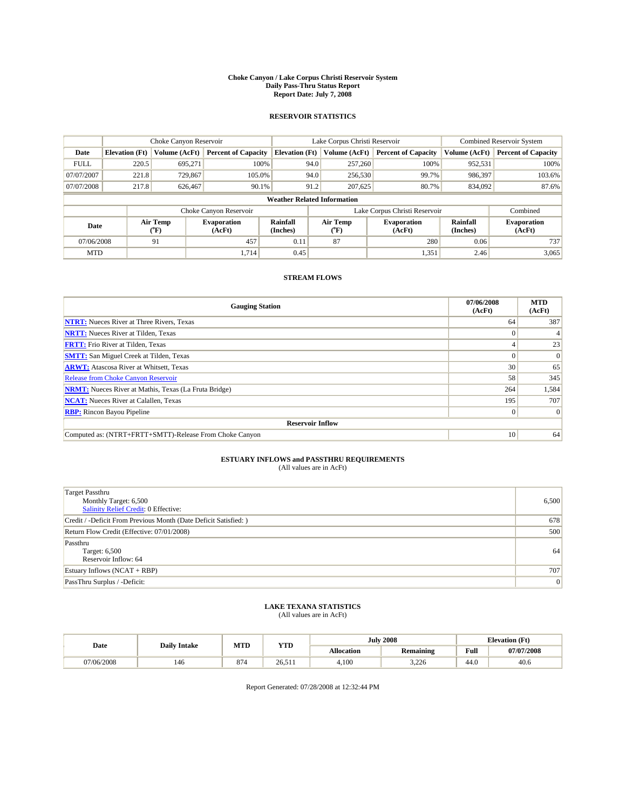#### **Choke Canyon / Lake Corpus Christi Reservoir System Daily Pass-Thru Status Report Report Date: July 7, 2008**

#### **RESERVOIR STATISTICS**

|             | Choke Canyon Reservoir             |                             |                              |                             | Lake Corpus Christi Reservoir |                  |                               |                      | <b>Combined Reservoir System</b> |  |
|-------------|------------------------------------|-----------------------------|------------------------------|-----------------------------|-------------------------------|------------------|-------------------------------|----------------------|----------------------------------|--|
| Date        | <b>Elevation</b> (Ft)              | Volume (AcFt)               | <b>Percent of Capacity</b>   | <b>Elevation</b> (Ft)       |                               | Volume (AcFt)    | <b>Percent of Capacity</b>    | Volume (AcFt)        | <b>Percent of Capacity</b>       |  |
| <b>FULL</b> | 220.5                              | 695,271                     | 100%                         |                             | 94.0                          | 257,260          | 100%                          | 952,531              | 100%                             |  |
| 07/07/2007  | 221.8                              | 729,867                     | 105.0%                       |                             | 94.0                          | 256,530          | 99.7%                         | 986,397              | 103.6%                           |  |
| 07/07/2008  | 217.8                              | 626.467                     | 90.1%                        |                             | 91.2                          | 207,625          | 80.7%                         | 834,092              | 87.6%                            |  |
|             | <b>Weather Related Information</b> |                             |                              |                             |                               |                  |                               |                      |                                  |  |
|             |                                    |                             | Choke Canyon Reservoir       |                             |                               |                  | Lake Corpus Christi Reservoir |                      | Combined                         |  |
| Date        |                                    | Air Temp<br>${}^{\circ}$ F) | <b>Evaporation</b><br>(AcFt) | <b>Rainfall</b><br>(Inches) |                               | Air Temp<br>(°F) | <b>Evaporation</b><br>(AcFt)  | Rainfall<br>(Inches) | <b>Evaporation</b><br>(AcFt)     |  |
| 07/06/2008  |                                    | 91                          | 457                          | 0.11                        |                               | 87               | 280                           | 0.06                 | 737                              |  |
| <b>MTD</b>  |                                    |                             | 1.714                        | 0.45                        |                               |                  | 1,351                         | 2.46                 | 3,065                            |  |

### **STREAM FLOWS**

| <b>Gauging Station</b>                                       | 07/06/2008<br>(AcFt) | <b>MTD</b><br>(AcFt) |  |  |  |  |
|--------------------------------------------------------------|----------------------|----------------------|--|--|--|--|
| <b>NTRT:</b> Nueces River at Three Rivers, Texas             | 64                   | 387                  |  |  |  |  |
| <b>NRTT:</b> Nueces River at Tilden, Texas                   |                      |                      |  |  |  |  |
| <b>FRTT:</b> Frio River at Tilden, Texas                     |                      | 23                   |  |  |  |  |
| <b>SMTT:</b> San Miguel Creek at Tilden, Texas               |                      | $\Omega$             |  |  |  |  |
| <b>ARWT:</b> Atascosa River at Whitsett, Texas               | 30 <sup>1</sup>      | 65                   |  |  |  |  |
| <b>Release from Choke Canyon Reservoir</b>                   | 58                   | 345                  |  |  |  |  |
| <b>NRMT:</b> Nueces River at Mathis, Texas (La Fruta Bridge) | 264                  | 1,584                |  |  |  |  |
| <b>NCAT:</b> Nueces River at Calallen, Texas                 | 195                  | 707                  |  |  |  |  |
| <b>RBP:</b> Rincon Bayou Pipeline                            | $\vert 0 \vert$      | $\Omega$             |  |  |  |  |
| <b>Reservoir Inflow</b>                                      |                      |                      |  |  |  |  |
| Computed as: (NTRT+FRTT+SMTT)-Release From Choke Canyon      | 10 <sup>1</sup>      | 64                   |  |  |  |  |

# **ESTUARY INFLOWS and PASSTHRU REQUIREMENTS**<br>(All values are in AcFt)

| <b>Target Passthru</b><br>Monthly Target: 6,500<br>Salinity Relief Credit: 0 Effective: | 6,500 |
|-----------------------------------------------------------------------------------------|-------|
| Credit / -Deficit From Previous Month (Date Deficit Satisfied: )                        | 678   |
| Return Flow Credit (Effective: 07/01/2008)                                              | 500   |
| Passthru<br>Target: 6,500<br>Reservoir Inflow: 64                                       | 64    |
| Estuary Inflows (NCAT + RBP)                                                            | 707   |
| PassThru Surplus / -Deficit:                                                            | 0     |

# **LAKE TEXANA STATISTICS** (All values are in AcFt)

|            | <b>Daily Intake</b> | MTD       | <b>YTD</b> |                   | <b>July 2008</b> | <b>Elevation</b> (Ft)                       |            |
|------------|---------------------|-----------|------------|-------------------|------------------|---------------------------------------------|------------|
| Date       |                     |           |            | <b>Allocation</b> | <b>Remaining</b> | Full<br>the contract of the contract of the | 07/07/2008 |
| 07/06/2008 | 146                 | 87<br>. . | 26.511     | 4.100             | 3,226            | 44.0                                        | 40.6       |

Report Generated: 07/28/2008 at 12:32:44 PM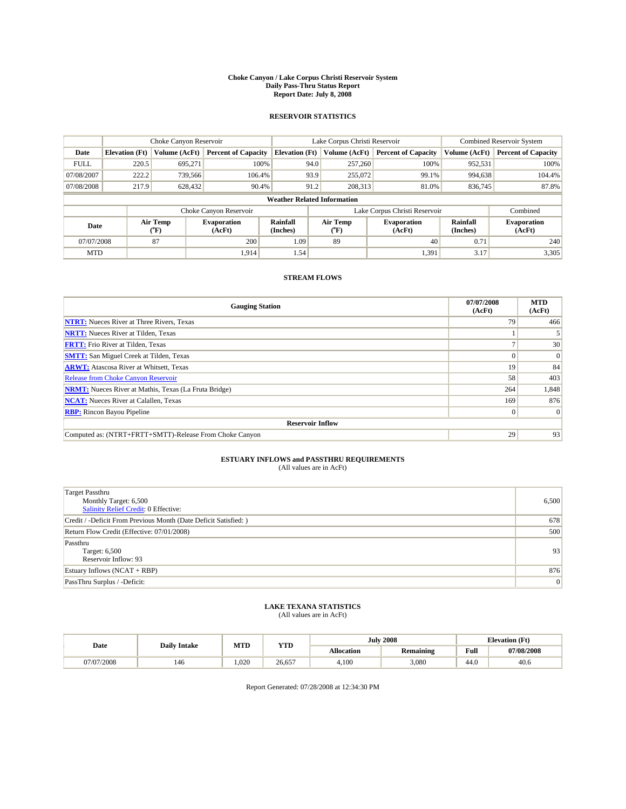#### **Choke Canyon / Lake Corpus Christi Reservoir System Daily Pass-Thru Status Report Report Date: July 8, 2008**

#### **RESERVOIR STATISTICS**

|             | Choke Canyon Reservoir             |                  |                              |                       | Lake Corpus Christi Reservoir |               |                               |                      | <b>Combined Reservoir System</b> |  |
|-------------|------------------------------------|------------------|------------------------------|-----------------------|-------------------------------|---------------|-------------------------------|----------------------|----------------------------------|--|
| Date        | <b>Elevation</b> (Ft)              | Volume (AcFt)    | <b>Percent of Capacity</b>   | <b>Elevation</b> (Ft) |                               | Volume (AcFt) | <b>Percent of Capacity</b>    | Volume (AcFt)        | <b>Percent of Capacity</b>       |  |
| <b>FULL</b> | 220.5                              | 695,271          | 100%                         |                       | 94.0                          | 257,260       | 100%                          | 952,531              | 100%                             |  |
| 07/08/2007  | 222.2                              | 739,566          | 106.4%                       |                       | 93.9                          | 255,072       | 99.1%                         | 994,638              | 104.4%                           |  |
| 07/08/2008  | 217.9                              | 628,432          | 90.4%                        |                       | 91.2                          | 208,313       | 81.0%                         | 836,745              | 87.8%                            |  |
|             | <b>Weather Related Information</b> |                  |                              |                       |                               |               |                               |                      |                                  |  |
|             |                                    |                  | Choke Canyon Reservoir       |                       |                               |               | Lake Corpus Christi Reservoir |                      | Combined                         |  |
| Date        |                                    | Air Temp<br>(°F) | <b>Evaporation</b><br>(AcFt) | Rainfall<br>(Inches)  | Air Temp<br>("F)              |               | <b>Evaporation</b><br>(AcFt)  | Rainfall<br>(Inches) | <b>Evaporation</b><br>(AcFt)     |  |
| 07/07/2008  |                                    | 87               | 200                          | 1.09                  | 89                            |               | 40                            | 0.71                 | 240                              |  |
| <b>MTD</b>  |                                    |                  | 1.914                        | 1.54                  |                               |               | 1,391                         | 3.17                 | 3,305                            |  |

#### **STREAM FLOWS**

| <b>Gauging Station</b>                                       | 07/07/2008<br>(AcFt) | <b>MTD</b><br>(AcFt) |
|--------------------------------------------------------------|----------------------|----------------------|
| <b>NTRT:</b> Nueces River at Three Rivers, Texas             | 79                   | 466                  |
| <b>NRTT:</b> Nueces River at Tilden, Texas                   |                      |                      |
| <b>FRTT:</b> Frio River at Tilden, Texas                     |                      | 30                   |
| <b>SMTT:</b> San Miguel Creek at Tilden, Texas               |                      | $\vert 0 \vert$      |
| <b>ARWT:</b> Atascosa River at Whitsett, Texas               | 19                   | 84                   |
| <b>Release from Choke Canyon Reservoir</b>                   | 58                   | 403                  |
| <b>NRMT:</b> Nueces River at Mathis, Texas (La Fruta Bridge) | 264                  | 1,848                |
| <b>NCAT:</b> Nueces River at Calallen, Texas                 | 169                  | 876                  |
| <b>RBP:</b> Rincon Bayou Pipeline                            | $\Omega$             | $\Omega$             |
| <b>Reservoir Inflow</b>                                      |                      |                      |
| Computed as: (NTRT+FRTT+SMTT)-Release From Choke Canyon      | 29                   | 93                   |

# **ESTUARY INFLOWS and PASSTHRU REQUIREMENTS**<br>(All values are in AcFt)

| <b>Target Passthru</b><br>Monthly Target: 6,500<br>Salinity Relief Credit: 0 Effective: | 6,500 |
|-----------------------------------------------------------------------------------------|-------|
| Credit / -Deficit From Previous Month (Date Deficit Satisfied: )                        | 678   |
| Return Flow Credit (Effective: 07/01/2008)                                              | 500   |
| Passthru<br>Target: 6,500<br>Reservoir Inflow: 93                                       | 93    |
| Estuary Inflows (NCAT + RBP)                                                            | 876   |
| PassThru Surplus / -Deficit:                                                            | 0     |

# **LAKE TEXANA STATISTICS** (All values are in AcFt)

|            | <b>Daily Intake</b> | MTD   | <b>YTD</b> |            | <b>July 2008</b> | <b>Elevation</b> (Ft)                       |            |
|------------|---------------------|-------|------------|------------|------------------|---------------------------------------------|------------|
| Date       |                     |       |            | Allocation | <b>Remaining</b> | Full<br>the contract of the contract of the | 07/08/2008 |
| 07/07/2008 | 146                 | 1.020 | 26.657     | 4.100      | 3,080            | 44.0                                        | 40.6       |

Report Generated: 07/28/2008 at 12:34:30 PM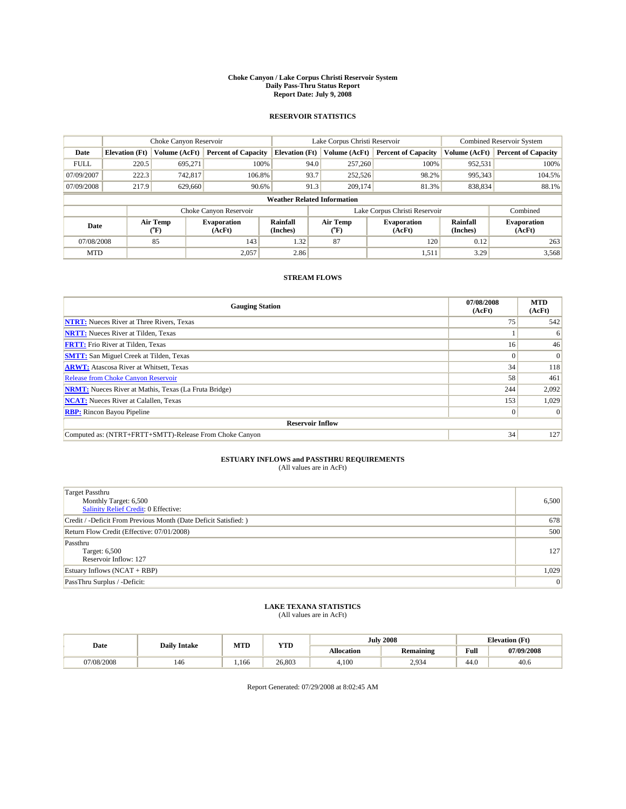#### **Choke Canyon / Lake Corpus Christi Reservoir System Daily Pass-Thru Status Report Report Date: July 9, 2008**

#### **RESERVOIR STATISTICS**

|             | Choke Canyon Reservoir             |                  |                              |                       | Lake Corpus Christi Reservoir | <b>Combined Reservoir System</b> |                      |                              |  |
|-------------|------------------------------------|------------------|------------------------------|-----------------------|-------------------------------|----------------------------------|----------------------|------------------------------|--|
| Date        | <b>Elevation</b> (Ft)              | Volume (AcFt)    | <b>Percent of Capacity</b>   | <b>Elevation</b> (Ft) | Volume (AcFt)                 | <b>Percent of Capacity</b>       | Volume (AcFt)        | <b>Percent of Capacity</b>   |  |
| <b>FULL</b> | 220.5                              | 695,271          | 100%                         | 94.0                  | 257,260                       | 100%                             | 952,531              | 100%                         |  |
| 07/09/2007  | 222.3                              | 742,817          | 106.8%                       | 93.7                  | 252,526                       | 98.2%                            | 995,343              | 104.5%                       |  |
| 07/09/2008  | 217.9                              | 629,660          | 90.6%                        | 91.3                  | 209,174                       | 81.3%                            | 838,834              | 88.1%                        |  |
|             | <b>Weather Related Information</b> |                  |                              |                       |                               |                                  |                      |                              |  |
|             |                                    |                  | Choke Canyon Reservoir       |                       |                               | Lake Corpus Christi Reservoir    |                      | Combined                     |  |
| Date        |                                    | Air Temp<br>(°F) | <b>Evaporation</b><br>(AcFt) | Rainfall<br>(Inches)  | Air Temp<br>("F)              | <b>Evaporation</b><br>(AcFt)     | Rainfall<br>(Inches) | <b>Evaporation</b><br>(AcFt) |  |
| 07/08/2008  |                                    | 85               | 143                          | 1.32                  | 87                            | 120                              | 0.12                 | 263                          |  |
| <b>MTD</b>  |                                    |                  | 2,057                        | 2.86                  |                               | 1,511                            | 3.29                 | 3,568                        |  |

#### **STREAM FLOWS**

| <b>Gauging Station</b>                                       | 07/08/2008<br>(AcFt) | <b>MTD</b><br>(AcFt) |  |  |  |  |
|--------------------------------------------------------------|----------------------|----------------------|--|--|--|--|
| <b>NTRT:</b> Nueces River at Three Rivers, Texas             | 75                   | 542                  |  |  |  |  |
| <b>NRTT:</b> Nueces River at Tilden, Texas                   |                      | 6                    |  |  |  |  |
| <b>FRTT:</b> Frio River at Tilden, Texas                     | 16 <sup>1</sup>      | 46                   |  |  |  |  |
| <b>SMTT:</b> San Miguel Creek at Tilden, Texas               | $\Omega$             | $\Omega$             |  |  |  |  |
| <b>ARWT:</b> Atascosa River at Whitsett, Texas               | 34                   | 118                  |  |  |  |  |
| <b>Release from Choke Canyon Reservoir</b>                   | 58                   | 461                  |  |  |  |  |
| <b>NRMT:</b> Nueces River at Mathis, Texas (La Fruta Bridge) | 244                  | 2,092                |  |  |  |  |
| <b>NCAT:</b> Nueces River at Calallen, Texas                 | 153                  | 1,029                |  |  |  |  |
| <b>RBP:</b> Rincon Bayou Pipeline                            | $\vert 0 \vert$      | $\Omega$             |  |  |  |  |
| <b>Reservoir Inflow</b>                                      |                      |                      |  |  |  |  |
| Computed as: (NTRT+FRTT+SMTT)-Release From Choke Canyon      | 34                   | 127                  |  |  |  |  |

# **ESTUARY INFLOWS and PASSTHRU REQUIREMENTS**<br>(All values are in AcFt)

| <b>Target Passthru</b><br>Monthly Target: 6,500<br>Salinity Relief Credit: 0 Effective: | 6,500 |
|-----------------------------------------------------------------------------------------|-------|
| Credit / -Deficit From Previous Month (Date Deficit Satisfied: )                        | 678   |
| Return Flow Credit (Effective: 07/01/2008)                                              | 500   |
| Passthru<br>Target: 6,500<br>Reservoir Inflow: 127                                      | 127   |
| Estuary Inflows $(NCAT + RBP)$                                                          | 1,029 |
| PassThru Surplus / -Deficit:                                                            | 0     |

# **LAKE TEXANA STATISTICS** (All values are in AcFt)

|            | <b>Daily Intake</b> | MTD  | YTD    |            | <b>July 2008</b> | <b>Elevation</b> (Ft)                       |            |
|------------|---------------------|------|--------|------------|------------------|---------------------------------------------|------------|
| Date       |                     |      |        | Allocation | <b>Remaining</b> | Full<br>the contract of the contract of the | 07/09/2008 |
| 07/08/2008 | 146                 | .166 | 26.803 | 4.100      | 2,934            | 44.0                                        | 40.6       |

Report Generated: 07/29/2008 at 8:02:45 AM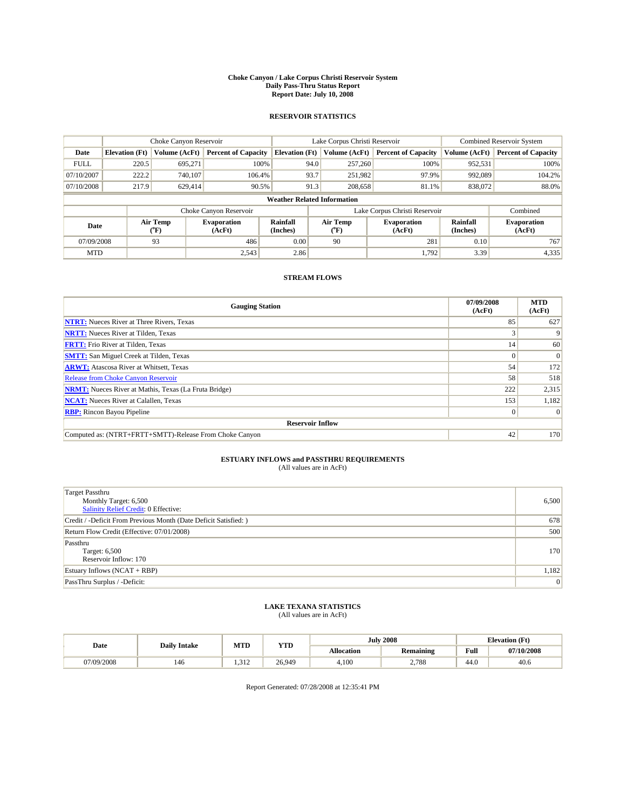#### **Choke Canyon / Lake Corpus Christi Reservoir System Daily Pass-Thru Status Report Report Date: July 10, 2008**

#### **RESERVOIR STATISTICS**

|             | Choke Canyon Reservoir             |                  |                              |                       | Lake Corpus Christi Reservoir | <b>Combined Reservoir System</b> |                      |                              |  |
|-------------|------------------------------------|------------------|------------------------------|-----------------------|-------------------------------|----------------------------------|----------------------|------------------------------|--|
| Date        | <b>Elevation</b> (Ft)              | Volume (AcFt)    | <b>Percent of Capacity</b>   | <b>Elevation</b> (Ft) | Volume (AcFt)                 | <b>Percent of Capacity</b>       | Volume (AcFt)        | <b>Percent of Capacity</b>   |  |
| <b>FULL</b> | 220.5                              | 695,271          | 100%                         | 94.0                  | 257,260                       | 100%                             | 952,531              | 100%                         |  |
| 07/10/2007  | 222.2                              | 740,107          | 106.4%                       | 93.7                  | 251,982                       | 97.9%                            | 992,089              | 104.2%                       |  |
| 07/10/2008  | 217.9                              | 629,414          | 90.5%                        | 91.3                  | 208,658                       | 81.1%                            | 838,072              | 88.0%                        |  |
|             | <b>Weather Related Information</b> |                  |                              |                       |                               |                                  |                      |                              |  |
|             |                                    |                  | Choke Canyon Reservoir       |                       |                               | Lake Corpus Christi Reservoir    |                      | Combined                     |  |
| Date        |                                    | Air Temp<br>(°F) | <b>Evaporation</b><br>(AcFt) | Rainfall<br>(Inches)  | Air Temp<br>("F)              | <b>Evaporation</b><br>(AcFt)     | Rainfall<br>(Inches) | <b>Evaporation</b><br>(AcFt) |  |
| 07/09/2008  |                                    | 93               | 486                          | 0.00                  | 90                            | 281                              | 0.10                 | 767                          |  |
| <b>MTD</b>  |                                    |                  | 2,543                        | 2.86                  |                               | 1.792                            | 3.39                 | 4,335                        |  |

### **STREAM FLOWS**

| <b>Gauging Station</b>                                       | 07/09/2008<br>(AcFt) | <b>MTD</b><br>(AcFt) |
|--------------------------------------------------------------|----------------------|----------------------|
| <b>NTRT:</b> Nueces River at Three Rivers, Texas             | 85                   | 627                  |
| <b>NRTT:</b> Nueces River at Tilden, Texas                   | $\sim$               |                      |
| <b>FRTT:</b> Frio River at Tilden, Texas                     | 14 <sup>1</sup>      | 60                   |
| <b>SMTT:</b> San Miguel Creek at Tilden, Texas               | $\Omega$             | $\Omega$             |
| <b>ARWT:</b> Atascosa River at Whitsett, Texas               | 54                   | 172                  |
| <b>Release from Choke Canyon Reservoir</b>                   | 58                   | 518                  |
| <b>NRMT:</b> Nueces River at Mathis, Texas (La Fruta Bridge) | 222                  | 2,315                |
| <b>NCAT:</b> Nueces River at Calallen, Texas                 | 153                  | 1,182                |
| <b>RBP:</b> Rincon Bayou Pipeline                            | $\vert 0 \vert$      | $\Omega$             |
| <b>Reservoir Inflow</b>                                      |                      |                      |
| Computed as: (NTRT+FRTT+SMTT)-Release From Choke Canyon      | 42                   | 170                  |

# **ESTUARY INFLOWS and PASSTHRU REQUIREMENTS**<br>(All values are in AcFt)

| <b>Target Passthru</b><br>Monthly Target: 6,500<br>Salinity Relief Credit: 0 Effective: | 6,500 |
|-----------------------------------------------------------------------------------------|-------|
| Credit / -Deficit From Previous Month (Date Deficit Satisfied: )                        | 678   |
| Return Flow Credit (Effective: 07/01/2008)                                              | 500   |
| Passthru<br>Target: 6,500<br>Reservoir Inflow: 170                                      | 170   |
| Estuary Inflows (NCAT + RBP)                                                            | 1,182 |
| PassThru Surplus / -Deficit:                                                            | 0     |

# **LAKE TEXANA STATISTICS** (All values are in AcFt)

|            | <b>Daily Intake</b> | MTD  | <b>YTD</b> |                   | <b>July 2008</b> | <b>Elevation</b> (Ft)                       |            |
|------------|---------------------|------|------------|-------------------|------------------|---------------------------------------------|------------|
| Date       |                     |      |            | <b>Allocation</b> | <b>Remaining</b> | Full<br>the contract of the contract of the | 07/10/2008 |
| 07/09/2008 | 146                 | .312 | 26.949     | 4.100             | 2,788            | 44.0                                        | 40.6       |

Report Generated: 07/28/2008 at 12:35:41 PM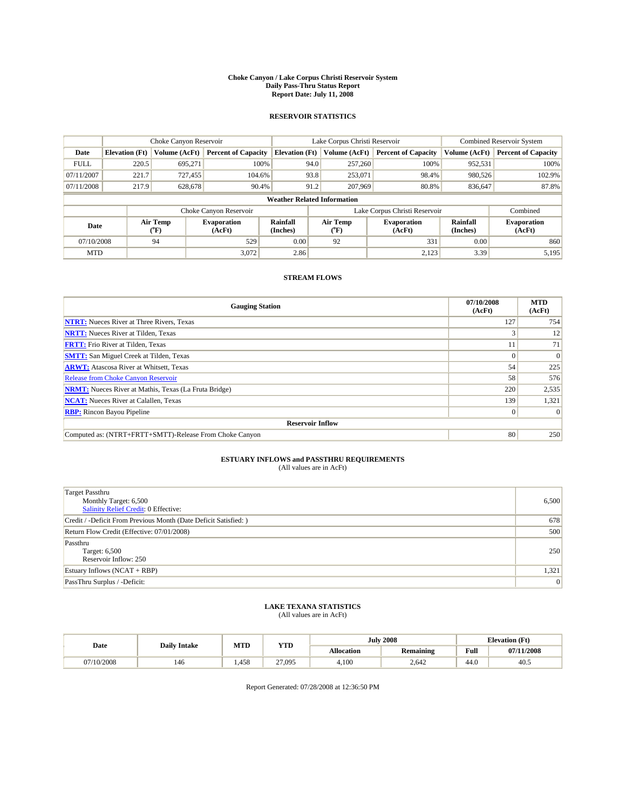#### **Choke Canyon / Lake Corpus Christi Reservoir System Daily Pass-Thru Status Report Report Date: July 11, 2008**

#### **RESERVOIR STATISTICS**

|             | Choke Canyon Reservoir             |                          |                              |                       | Lake Corpus Christi Reservoir |                  |                               |                      | <b>Combined Reservoir System</b> |  |
|-------------|------------------------------------|--------------------------|------------------------------|-----------------------|-------------------------------|------------------|-------------------------------|----------------------|----------------------------------|--|
| Date        | <b>Elevation</b> (Ft)              | Volume (AcFt)            | <b>Percent of Capacity</b>   | <b>Elevation</b> (Ft) |                               | Volume (AcFt)    | <b>Percent of Capacity</b>    | Volume (AcFt)        | <b>Percent of Capacity</b>       |  |
| <b>FULL</b> | 220.5                              | 695,271                  | 100%                         |                       | 94.0                          | 257,260          | 100%                          | 952,531              | 100%                             |  |
| 07/11/2007  | 221.7                              | 727.455                  | 104.6%                       |                       | 93.8                          | 253,071          | 98.4%                         | 980,526              | 102.9%                           |  |
| 07/11/2008  | 217.9                              | 628,678                  | 90.4%                        |                       | 91.2                          | 207,969          | 80.8%                         | 836,647              | 87.8%                            |  |
|             | <b>Weather Related Information</b> |                          |                              |                       |                               |                  |                               |                      |                                  |  |
|             |                                    |                          | Choke Canyon Reservoir       |                       |                               |                  | Lake Corpus Christi Reservoir |                      | Combined                         |  |
| Date        |                                    | Air Temp<br>$\rm ^{o}F)$ | <b>Evaporation</b><br>(AcFt) | Rainfall<br>(Inches)  |                               | Air Temp<br>("F) | <b>Evaporation</b><br>(AcFt)  | Rainfall<br>(Inches) | <b>Evaporation</b><br>(AcFt)     |  |
| 07/10/2008  |                                    | 94                       | 529                          | 0.00                  |                               | 92               | 331                           | 0.00                 | 860                              |  |
| <b>MTD</b>  |                                    |                          | 3,072                        | 2.86                  |                               |                  | 2,123                         | 3.39                 | 5,195                            |  |

### **STREAM FLOWS**

| <b>Gauging Station</b>                                       | 07/10/2008<br>(AcFt) | <b>MTD</b><br>(AcFt) |
|--------------------------------------------------------------|----------------------|----------------------|
| <b>NTRT:</b> Nueces River at Three Rivers, Texas             | 127                  | 754                  |
| <b>NRTT:</b> Nueces River at Tilden, Texas                   |                      | 12                   |
| <b>FRTT:</b> Frio River at Tilden, Texas                     |                      | 71                   |
| <b>SMTT:</b> San Miguel Creek at Tilden, Texas               | $\Omega$             | $\Omega$             |
| <b>ARWT:</b> Atascosa River at Whitsett, Texas               | 54                   | 225                  |
| <b>Release from Choke Canyon Reservoir</b>                   | 58                   | 576                  |
| <b>NRMT:</b> Nueces River at Mathis, Texas (La Fruta Bridge) | 220                  | 2,535                |
| <b>NCAT:</b> Nueces River at Calallen, Texas                 | 139                  | 1,321                |
| <b>RBP:</b> Rincon Bayou Pipeline                            | $\vert 0 \vert$      | $\Omega$             |
| <b>Reservoir Inflow</b>                                      |                      |                      |
| Computed as: (NTRT+FRTT+SMTT)-Release From Choke Canyon      | 80                   | 250                  |

# **ESTUARY INFLOWS and PASSTHRU REQUIREMENTS**<br>(All values are in AcFt)

| <b>Target Passthru</b><br>Monthly Target: 6,500<br>Salinity Relief Credit: 0 Effective: | 6,500 |
|-----------------------------------------------------------------------------------------|-------|
| Credit / -Deficit From Previous Month (Date Deficit Satisfied: )                        | 678   |
| Return Flow Credit (Effective: 07/01/2008)                                              | 500   |
| Passthru<br>Target: 6,500<br>Reservoir Inflow: 250                                      | 250   |
| Estuary Inflows (NCAT + RBP)                                                            | 1,321 |
| PassThru Surplus / -Deficit:                                                            | 0     |

# **LAKE TEXANA STATISTICS** (All values are in AcFt)

|            | <b>Daily Intake</b> | MTD  | <b>YTD</b> |            | <b>July 2008</b> | <b>Elevation</b> (Ft)                       |            |
|------------|---------------------|------|------------|------------|------------------|---------------------------------------------|------------|
| Date       |                     |      |            | Allocation | <b>Remaining</b> | Full<br>the contract of the contract of the | 07/11/2008 |
| 07/10/2008 | 146                 | .458 | 27.095     | 4.100      | 2.642            | 44.0                                        | 40.5       |

Report Generated: 07/28/2008 at 12:36:50 PM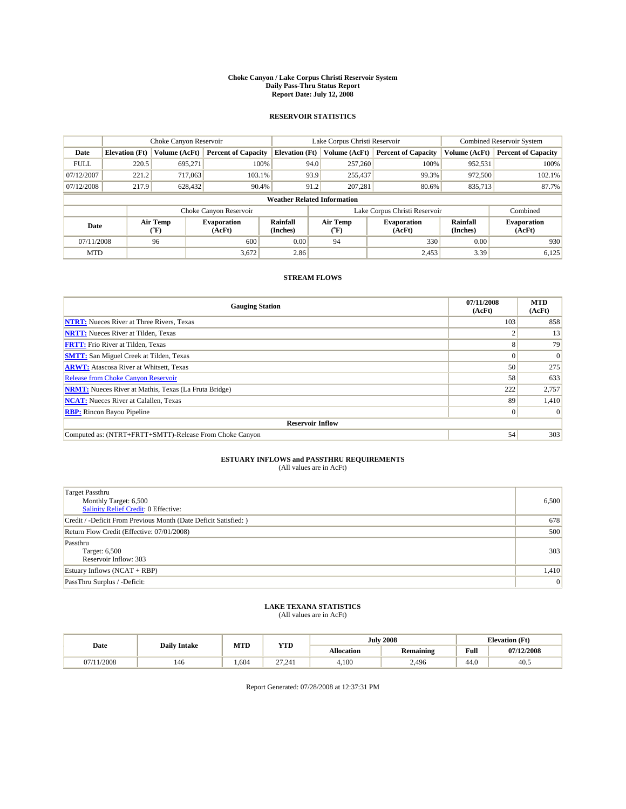#### **Choke Canyon / Lake Corpus Christi Reservoir System Daily Pass-Thru Status Report Report Date: July 12, 2008**

#### **RESERVOIR STATISTICS**

|             | Choke Canyon Reservoir             |                  |                              |                             | Lake Corpus Christi Reservoir | <b>Combined Reservoir System</b> |                             |                              |  |
|-------------|------------------------------------|------------------|------------------------------|-----------------------------|-------------------------------|----------------------------------|-----------------------------|------------------------------|--|
| Date        | <b>Elevation</b> (Ft)              | Volume (AcFt)    | <b>Percent of Capacity</b>   | <b>Elevation</b> (Ft)       | Volume (AcFt)                 | <b>Percent of Capacity</b>       | Volume (AcFt)               | <b>Percent of Capacity</b>   |  |
| <b>FULL</b> | 220.5                              | 695,271          | 100%                         | 94.0                        | 257,260                       | 100%                             | 952,531                     | 100%                         |  |
| 07/12/2007  | 221.2                              | 717,063          | 103.1%                       | 93.9                        | 255,437                       | 99.3%                            | 972,500                     | 102.1%                       |  |
| 07/12/2008  | 217.9                              | 628,432          | 90.4%                        | 91.2                        | 207.281                       | 80.6%                            | 835,713                     | 87.7%                        |  |
|             | <b>Weather Related Information</b> |                  |                              |                             |                               |                                  |                             |                              |  |
|             |                                    |                  | Choke Canyon Reservoir       |                             |                               | Lake Corpus Christi Reservoir    |                             | Combined                     |  |
| Date        |                                    | Air Temp<br>(°F) | <b>Evaporation</b><br>(AcFt) | <b>Rainfall</b><br>(Inches) | Air Temp<br>(°F)              | <b>Evaporation</b><br>(AcFt)     | <b>Rainfall</b><br>(Inches) | <b>Evaporation</b><br>(AcFt) |  |
| 07/11/2008  |                                    | 96               | 600                          | 0.00                        | 94                            | 330                              | 0.00                        | 930                          |  |
| <b>MTD</b>  |                                    |                  | 3,672                        | 2.86                        |                               | 2,453                            | 3.39                        | 6,125                        |  |

### **STREAM FLOWS**

| <b>Gauging Station</b>                                       | 07/11/2008<br>(AcFt) | <b>MTD</b><br>(AcFt) |
|--------------------------------------------------------------|----------------------|----------------------|
| <b>NTRT:</b> Nueces River at Three Rivers, Texas             | 103                  | 858                  |
| <b>NRTT:</b> Nueces River at Tilden, Texas                   |                      | 13                   |
| <b>FRTT:</b> Frio River at Tilden, Texas                     | 8                    | 79                   |
| <b>SMTT:</b> San Miguel Creek at Tilden, Texas               | $\Omega$             | $\Omega$             |
| <b>ARWT:</b> Atascosa River at Whitsett, Texas               | 50                   | 275                  |
| <b>Release from Choke Canyon Reservoir</b>                   | 58                   | 633                  |
| <b>NRMT:</b> Nueces River at Mathis, Texas (La Fruta Bridge) | 222                  | 2,757                |
| <b>NCAT:</b> Nueces River at Calallen, Texas                 | 89                   | 1,410                |
| <b>RBP:</b> Rincon Bayou Pipeline                            | $\overline{0}$       | $\Omega$             |
| <b>Reservoir Inflow</b>                                      |                      |                      |
| Computed as: (NTRT+FRTT+SMTT)-Release From Choke Canyon      | 54                   | 303                  |

# **ESTUARY INFLOWS and PASSTHRU REQUIREMENTS**<br>(All values are in AcFt)

| <b>Target Passthru</b><br>Monthly Target: 6,500<br>Salinity Relief Credit: 0 Effective: | 6,500 |
|-----------------------------------------------------------------------------------------|-------|
| Credit / -Deficit From Previous Month (Date Deficit Satisfied: )                        | 678   |
| Return Flow Credit (Effective: 07/01/2008)                                              | 500   |
| Passthru<br>Target: 6,500<br>Reservoir Inflow: 303                                      | 303   |
| Estuary Inflows $(NCAT + RBP)$                                                          | 1,410 |
| PassThru Surplus / -Deficit:                                                            | 0     |

# **LAKE TEXANA STATISTICS** (All values are in AcFt)

|           | <b>Daily Intake</b> | MTD  | <b>YTD</b>       |                   | <b>July 2008</b> | <b>Elevation</b> (Ft)                       |            |
|-----------|---------------------|------|------------------|-------------------|------------------|---------------------------------------------|------------|
| Date      |                     |      |                  | <b>Allocation</b> | <b>Remaining</b> | Full<br>the contract of the contract of the | 07/12/2008 |
| (11/2008) | 146                 | .604 | $\sim$<br>27.241 | 4.100             | 2.496            | 44.0                                        | 40.5       |

Report Generated: 07/28/2008 at 12:37:31 PM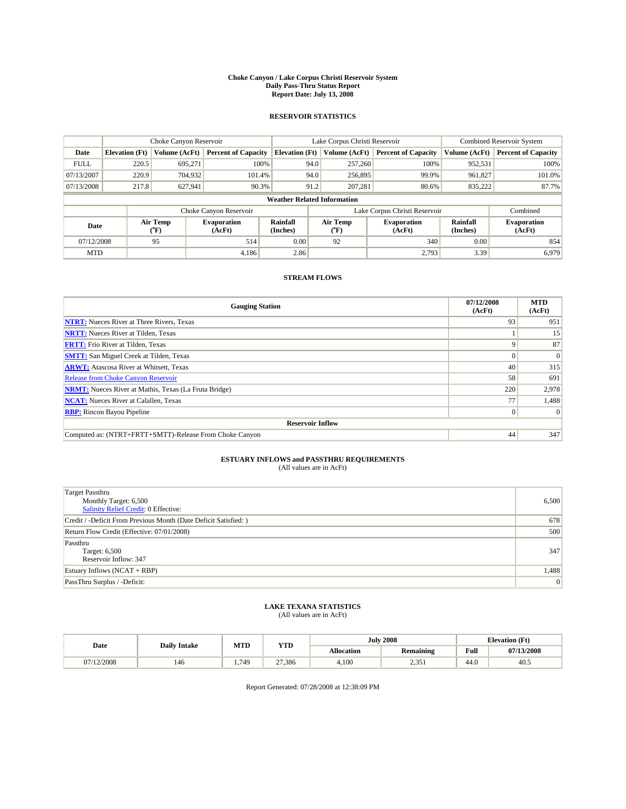#### **Choke Canyon / Lake Corpus Christi Reservoir System Daily Pass-Thru Status Report Report Date: July 13, 2008**

#### **RESERVOIR STATISTICS**

|             |                                    | Choke Canyon Reservoir |                              |                             | Lake Corpus Christi Reservoir | <b>Combined Reservoir System</b> |                             |                              |  |
|-------------|------------------------------------|------------------------|------------------------------|-----------------------------|-------------------------------|----------------------------------|-----------------------------|------------------------------|--|
| Date        | <b>Elevation</b> (Ft)              | Volume (AcFt)          | <b>Percent of Capacity</b>   | <b>Elevation</b> (Ft)       | Volume (AcFt)                 | <b>Percent of Capacity</b>       | Volume (AcFt)               | <b>Percent of Capacity</b>   |  |
| <b>FULL</b> | 220.5                              | 695,271                | 100%                         | 94.0                        | 257,260                       | 100%                             | 952,531                     | 100%                         |  |
| 07/13/2007  | 220.9                              | 704,932                | 101.4%                       | 94.0                        | 256,895                       | 99.9%                            | 961,827                     | 101.0%                       |  |
| 07/13/2008  | 217.8                              | 627,941                | 90.3%                        | 91.2                        | 207.281                       | 80.6%                            | 835,222                     | 87.7%                        |  |
|             | <b>Weather Related Information</b> |                        |                              |                             |                               |                                  |                             |                              |  |
|             |                                    |                        | Choke Canyon Reservoir       |                             |                               | Lake Corpus Christi Reservoir    |                             | Combined                     |  |
| Date        |                                    | Air Temp<br>(°F)       | <b>Evaporation</b><br>(AcFt) | <b>Rainfall</b><br>(Inches) | Air Temp<br>(°F)              | <b>Evaporation</b><br>(AcFt)     | <b>Rainfall</b><br>(Inches) | <b>Evaporation</b><br>(AcFt) |  |
| 07/12/2008  |                                    | 95                     | 514                          | 0.00                        | 92                            | 340                              | 0.00                        | 854                          |  |
| <b>MTD</b>  |                                    |                        | 4.186                        | 2.86                        |                               | 2.793                            | 3.39                        | 6.979                        |  |

### **STREAM FLOWS**

| <b>Gauging Station</b>                                       | 07/12/2008<br>(AcFt) | <b>MTD</b><br>(AcFt) |  |  |  |  |  |
|--------------------------------------------------------------|----------------------|----------------------|--|--|--|--|--|
| <b>NTRT:</b> Nueces River at Three Rivers, Texas             | 93                   | 951                  |  |  |  |  |  |
| <b>NRTT:</b> Nueces River at Tilden, Texas                   |                      | 15                   |  |  |  |  |  |
| <b>FRTT:</b> Frio River at Tilden, Texas                     | 9                    | 87                   |  |  |  |  |  |
| <b>SMTT:</b> San Miguel Creek at Tilden, Texas               |                      | $\Omega$             |  |  |  |  |  |
| <b>ARWT:</b> Atascosa River at Whitsett, Texas               | 40                   | 315                  |  |  |  |  |  |
| <b>Release from Choke Canyon Reservoir</b>                   | 58                   | 691                  |  |  |  |  |  |
| <b>NRMT:</b> Nueces River at Mathis, Texas (La Fruta Bridge) | 220                  | 2,978                |  |  |  |  |  |
| <b>NCAT:</b> Nueces River at Calallen, Texas                 | 77                   | 1,488                |  |  |  |  |  |
| <b>RBP:</b> Rincon Bayou Pipeline                            | $\overline{0}$       | $\Omega$             |  |  |  |  |  |
| <b>Reservoir Inflow</b>                                      |                      |                      |  |  |  |  |  |
| Computed as: (NTRT+FRTT+SMTT)-Release From Choke Canyon      | 44                   | 347                  |  |  |  |  |  |

# **ESTUARY INFLOWS and PASSTHRU REQUIREMENTS**<br>(All values are in AcFt)

| <b>Target Passthru</b><br>Monthly Target: 6,500<br>Salinity Relief Credit: 0 Effective: | 6,500 |
|-----------------------------------------------------------------------------------------|-------|
| Credit / -Deficit From Previous Month (Date Deficit Satisfied: )                        | 678   |
| Return Flow Credit (Effective: 07/01/2008)                                              | 500   |
| Passthru<br>Target: 6,500<br>Reservoir Inflow: 347                                      | 347   |
| Estuary Inflows $(NCAT + RBP)$                                                          | 1,488 |
| PassThru Surplus / -Deficit:                                                            | 0     |

# **LAKE TEXANA STATISTICS** (All values are in AcFt)

| Date       | <b>Daily Intake</b> | MTD  | <b>YTD</b> |                   | <b>July 2008</b> | <b>Elevation</b> (Ft) |            |
|------------|---------------------|------|------------|-------------------|------------------|-----------------------|------------|
|            |                     |      |            | <b>Allocation</b> | <b>Remaining</b> | Full                  | 07/13/2008 |
| 07/12/2008 | 146                 | .749 | 27.386     | 4.100             | .25<br>⊥ ب ب∡    | 44.0                  | 40.5       |

Report Generated: 07/28/2008 at 12:38:09 PM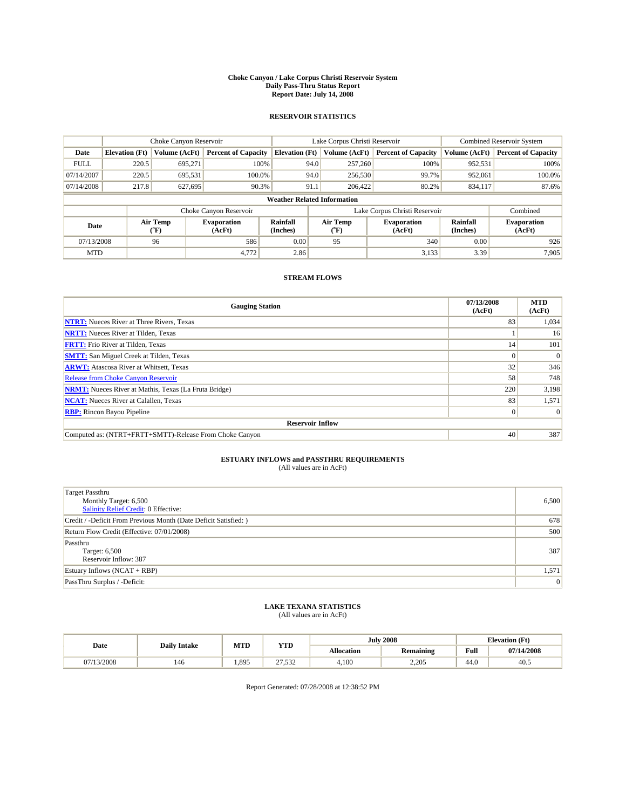#### **Choke Canyon / Lake Corpus Christi Reservoir System Daily Pass-Thru Status Report Report Date: July 14, 2008**

#### **RESERVOIR STATISTICS**

|             |                                    | Choke Canyon Reservoir |                              |                       | Lake Corpus Christi Reservoir | <b>Combined Reservoir System</b> |                      |                              |  |
|-------------|------------------------------------|------------------------|------------------------------|-----------------------|-------------------------------|----------------------------------|----------------------|------------------------------|--|
| Date        | <b>Elevation</b> (Ft)              | Volume (AcFt)          | <b>Percent of Capacity</b>   | <b>Elevation</b> (Ft) | Volume (AcFt)                 | <b>Percent of Capacity</b>       | Volume (AcFt)        | <b>Percent of Capacity</b>   |  |
| <b>FULL</b> | 220.5                              | 695,271                | 100%                         | 94.0                  | 257,260                       | 100%                             | 952,531              | 100%                         |  |
| 07/14/2007  | 220.5                              | 695,531                | 100.0%                       | 94.0                  | 256,530                       | 99.7%                            | 952,061              | 100.0%                       |  |
| 07/14/2008  | 217.8                              | 627,695                | 90.3%                        | 91.1                  | 206,422                       | 80.2%                            | 834,117              | 87.6%                        |  |
|             | <b>Weather Related Information</b> |                        |                              |                       |                               |                                  |                      |                              |  |
|             |                                    |                        | Choke Canyon Reservoir       |                       | Lake Corpus Christi Reservoir |                                  | Combined             |                              |  |
| Date        |                                    | Air Temp<br>(°F)       | <b>Evaporation</b><br>(AcFt) | Rainfall<br>(Inches)  | Air Temp<br>("F)              | <b>Evaporation</b><br>(AcFt)     | Rainfall<br>(Inches) | <b>Evaporation</b><br>(AcFt) |  |
| 07/13/2008  |                                    | 96                     | 586                          | 0.00                  | 95                            | 340                              | 0.00                 | 926                          |  |
| <b>MTD</b>  |                                    |                        | 4,772                        | 2.86                  |                               | 3,133                            | 3.39                 | 7.905                        |  |

### **STREAM FLOWS**

| <b>Gauging Station</b>                                       | 07/13/2008<br>(AcFt) | <b>MTD</b><br>(AcFt) |  |  |  |  |  |
|--------------------------------------------------------------|----------------------|----------------------|--|--|--|--|--|
| <b>NTRT:</b> Nueces River at Three Rivers, Texas             | 83                   | 1,034                |  |  |  |  |  |
| <b>NRTT:</b> Nueces River at Tilden, Texas                   |                      | 16                   |  |  |  |  |  |
| <b>FRTT:</b> Frio River at Tilden, Texas                     | 14                   | 101                  |  |  |  |  |  |
| <b>SMTT:</b> San Miguel Creek at Tilden, Texas               | $\theta$             | $\Omega$             |  |  |  |  |  |
| <b>ARWT:</b> Atascosa River at Whitsett, Texas               | 32                   | 346                  |  |  |  |  |  |
| <b>Release from Choke Canyon Reservoir</b>                   | 58                   | 748                  |  |  |  |  |  |
| <b>NRMT:</b> Nueces River at Mathis, Texas (La Fruta Bridge) | 220                  | 3,198                |  |  |  |  |  |
| <b>NCAT:</b> Nueces River at Calallen, Texas                 | 83                   | 1,571                |  |  |  |  |  |
| <b>RBP:</b> Rincon Bayou Pipeline                            | $\overline{0}$       | $\Omega$             |  |  |  |  |  |
| <b>Reservoir Inflow</b>                                      |                      |                      |  |  |  |  |  |
| Computed as: (NTRT+FRTT+SMTT)-Release From Choke Canyon      | 40                   | 387                  |  |  |  |  |  |

# **ESTUARY INFLOWS and PASSTHRU REQUIREMENTS**<br>(All values are in AcFt)

| <b>Target Passthru</b><br>Monthly Target: 6,500<br>Salinity Relief Credit: 0 Effective: | 6,500 |
|-----------------------------------------------------------------------------------------|-------|
| Credit / -Deficit From Previous Month (Date Deficit Satisfied: )                        | 678   |
| Return Flow Credit (Effective: 07/01/2008)                                              | 500   |
| Passthru<br>Target: 6,500<br>Reservoir Inflow: 387                                      | 387   |
| Estuary Inflows (NCAT + RBP)                                                            | 1,571 |
| PassThru Surplus / -Deficit:                                                            | 0     |

# **LAKE TEXANA STATISTICS** (All values are in AcFt)

|            | <b>Daily Intake</b> | MTD  | <b>YTD</b>      |                   | <b>July 2008</b> | <b>Elevation</b> (Ft)                       |            |
|------------|---------------------|------|-----------------|-------------------|------------------|---------------------------------------------|------------|
| Date       |                     |      |                 | <b>Allocation</b> | <b>Remaining</b> | Full<br>the contract of the contract of the | 07/14/2008 |
| 07/13/2008 | 146                 | .895 | 27522<br>21.992 | 4.100             | 2.205            | 44.0                                        | 40.5       |

Report Generated: 07/28/2008 at 12:38:52 PM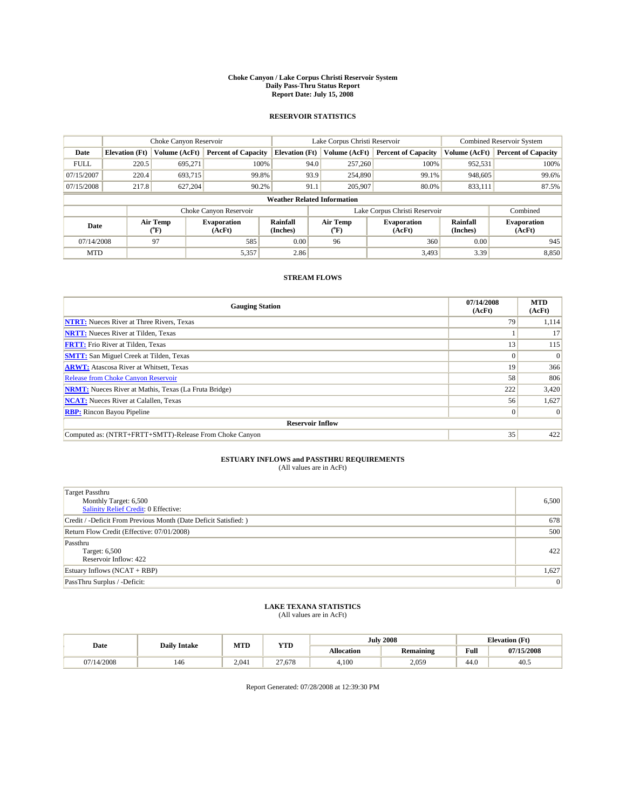#### **Choke Canyon / Lake Corpus Christi Reservoir System Daily Pass-Thru Status Report Report Date: July 15, 2008**

#### **RESERVOIR STATISTICS**

|             | Choke Canyon Reservoir             |                                           |                              |                       | Lake Corpus Christi Reservoir | <b>Combined Reservoir System</b> |                      |                              |  |
|-------------|------------------------------------|-------------------------------------------|------------------------------|-----------------------|-------------------------------|----------------------------------|----------------------|------------------------------|--|
| Date        | <b>Elevation</b> (Ft)              | Volume (AcFt)                             | <b>Percent of Capacity</b>   | <b>Elevation</b> (Ft) | Volume (AcFt)                 | <b>Percent of Capacity</b>       | Volume (AcFt)        | <b>Percent of Capacity</b>   |  |
| <b>FULL</b> | 220.5                              | 695,271                                   | 100%                         | 94.0                  | 257,260                       | 100%                             | 952,531              | 100%                         |  |
| 07/15/2007  | 220.4                              | 693.715                                   | 99.8%                        | 93.9                  | 254,890                       | 99.1%                            | 948,605              | 99.6%                        |  |
| 07/15/2008  | 217.8                              | 627,204                                   | 90.2%                        | 91.1                  | 205,907                       | 80.0%                            | 833,111              | 87.5%                        |  |
|             | <b>Weather Related Information</b> |                                           |                              |                       |                               |                                  |                      |                              |  |
|             |                                    |                                           | Choke Canyon Reservoir       |                       |                               | Lake Corpus Christi Reservoir    |                      | Combined                     |  |
| Date        |                                    | Air Temp<br>$({}^{\mathrm{o}}\mathrm{F})$ | <b>Evaporation</b><br>(AcFt) | Rainfall<br>(Inches)  | Air Temp<br>(°F)              | <b>Evaporation</b><br>(AcFt)     | Rainfall<br>(Inches) | <b>Evaporation</b><br>(AcFt) |  |
| 07/14/2008  |                                    | 97                                        | 585                          | 0.00                  | 96                            | 360                              | 0.00                 | 945                          |  |
| <b>MTD</b>  |                                    |                                           | 5,357                        | 2.86                  |                               | 3.493                            | 3.39                 | 8,850                        |  |

### **STREAM FLOWS**

| <b>Gauging Station</b>                                       | 07/14/2008<br>(AcFt) | <b>MTD</b><br>(AcFt) |  |  |  |  |  |
|--------------------------------------------------------------|----------------------|----------------------|--|--|--|--|--|
| <b>NTRT:</b> Nueces River at Three Rivers, Texas             | 79                   | 1,114                |  |  |  |  |  |
| <b>NRTT:</b> Nueces River at Tilden, Texas                   |                      | 17                   |  |  |  |  |  |
| <b>FRTT:</b> Frio River at Tilden, Texas                     | 13                   | 115                  |  |  |  |  |  |
| <b>SMTT:</b> San Miguel Creek at Tilden, Texas               | $\Omega$             | $\Omega$             |  |  |  |  |  |
| <b>ARWT:</b> Atascosa River at Whitsett, Texas               | 19                   | 366                  |  |  |  |  |  |
| <b>Release from Choke Canyon Reservoir</b>                   | 58                   | 806                  |  |  |  |  |  |
| <b>NRMT:</b> Nueces River at Mathis, Texas (La Fruta Bridge) | 222                  | 3,420                |  |  |  |  |  |
| <b>NCAT:</b> Nueces River at Calallen, Texas                 | 56                   | 1,627                |  |  |  |  |  |
| <b>RBP:</b> Rincon Bayou Pipeline                            |                      |                      |  |  |  |  |  |
| <b>Reservoir Inflow</b>                                      |                      |                      |  |  |  |  |  |
| Computed as: (NTRT+FRTT+SMTT)-Release From Choke Canyon      | 35                   | 422                  |  |  |  |  |  |

# **ESTUARY INFLOWS and PASSTHRU REQUIREMENTS**<br>(All values are in AcFt)

| <b>Target Passthru</b><br>Monthly Target: 6,500<br>Salinity Relief Credit: 0 Effective: | 6,500 |
|-----------------------------------------------------------------------------------------|-------|
| Credit / -Deficit From Previous Month (Date Deficit Satisfied: )                        | 678   |
| Return Flow Credit (Effective: 07/01/2008)                                              | 500   |
| Passthru<br>Target: 6,500<br>Reservoir Inflow: 422                                      | 422   |
| Estuary Inflows $(NCAT + RBP)$                                                          | 1,627 |
| PassThru Surplus / -Deficit:                                                            | 0     |

# **LAKE TEXANA STATISTICS** (All values are in AcFt)

|            | <b>Daily Intake</b> | MTD   | <b>YTD</b> |                   | <b>July 2008</b> | <b>Elevation</b> (Ft)                       |            |
|------------|---------------------|-------|------------|-------------------|------------------|---------------------------------------------|------------|
| Date       |                     |       |            | <b>Allocation</b> | <b>Remaining</b> | Full<br>the contract of the contract of the | 07/15/2008 |
| 07/14/2008 | 146                 | 2.041 | 27.678     | 4.100             | 2,059            | 44.0                                        | 40.5       |

Report Generated: 07/28/2008 at 12:39:30 PM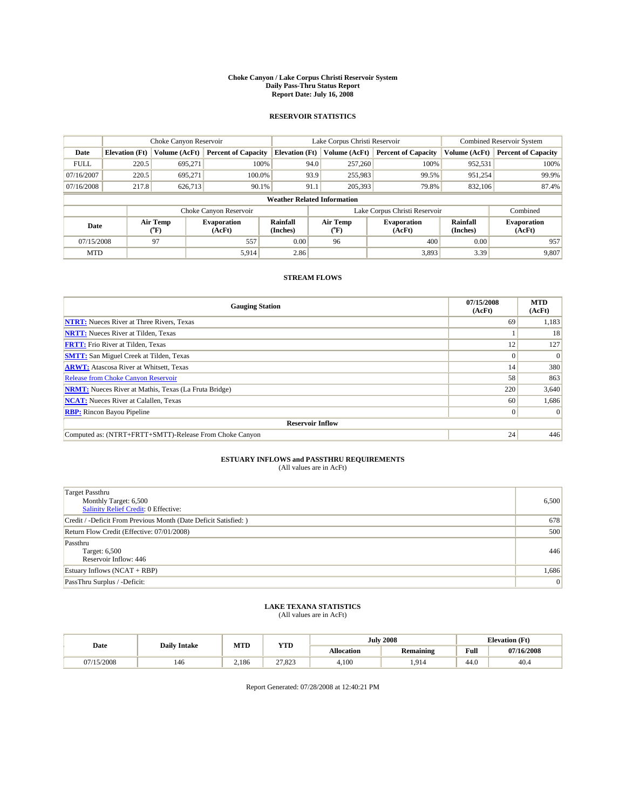#### **Choke Canyon / Lake Corpus Christi Reservoir System Daily Pass-Thru Status Report Report Date: July 16, 2008**

#### **RESERVOIR STATISTICS**

|             | Choke Canyon Reservoir             |                  |                              |                       | Lake Corpus Christi Reservoir |                          |                               |                      | <b>Combined Reservoir System</b> |  |
|-------------|------------------------------------|------------------|------------------------------|-----------------------|-------------------------------|--------------------------|-------------------------------|----------------------|----------------------------------|--|
| Date        | <b>Elevation</b> (Ft)              | Volume (AcFt)    | <b>Percent of Capacity</b>   | <b>Elevation</b> (Ft) |                               | Volume (AcFt)            | <b>Percent of Capacity</b>    | Volume (AcFt)        | <b>Percent of Capacity</b>       |  |
| <b>FULL</b> | 220.5                              | 695,271          | 100%                         |                       | 94.0                          | 257,260                  | 100%                          | 952,531              | 100%                             |  |
| 07/16/2007  | 220.5                              | 695,271          | 100.0%                       |                       | 93.9                          | 255,983                  | 99.5%                         | 951,254              | 99.9%                            |  |
| 07/16/2008  | 217.8                              | 626,713          | 90.1%                        |                       | 91.1                          | 205,393                  | 79.8%                         | 832,106              | 87.4%                            |  |
|             | <b>Weather Related Information</b> |                  |                              |                       |                               |                          |                               |                      |                                  |  |
|             |                                    |                  | Choke Canyon Reservoir       |                       |                               |                          | Lake Corpus Christi Reservoir |                      | Combined                         |  |
| Date        |                                    | Air Temp<br>(°F) | <b>Evaporation</b><br>(AcFt) | Rainfall<br>(Inches)  |                               | Air Temp<br>$\rm ^{o}F)$ | <b>Evaporation</b><br>(AcFt)  | Rainfall<br>(Inches) | <b>Evaporation</b><br>(AcFt)     |  |
| 07/15/2008  |                                    | 97               | 557                          | 0.00                  |                               | 96                       | 400                           | 0.00                 | 957                              |  |
| <b>MTD</b>  |                                    |                  | 5,914                        | 2.86                  |                               |                          | 3,893                         | 3.39                 | 9,807                            |  |

### **STREAM FLOWS**

| <b>Gauging Station</b>                                       | 07/15/2008<br>(AcFt) | <b>MTD</b><br>(AcFt) |
|--------------------------------------------------------------|----------------------|----------------------|
| <b>NTRT:</b> Nueces River at Three Rivers, Texas             | 69                   | 1,183                |
| <b>NRTT:</b> Nueces River at Tilden, Texas                   |                      | 18                   |
| <b>FRTT:</b> Frio River at Tilden, Texas                     | 12                   | 127                  |
| <b>SMTT:</b> San Miguel Creek at Tilden, Texas               | $\Omega$             | $\Omega$             |
| <b>ARWT:</b> Atascosa River at Whitsett, Texas               | 14                   | 380                  |
| <b>Release from Choke Canyon Reservoir</b>                   | 58                   | 863                  |
| <b>NRMT:</b> Nueces River at Mathis, Texas (La Fruta Bridge) | 220                  | 3,640                |
| <b>NCAT:</b> Nueces River at Calallen, Texas                 | 60                   | 1,686                |
| <b>RBP:</b> Rincon Bayou Pipeline                            | $\vert 0 \vert$      | $\Omega$             |
| <b>Reservoir Inflow</b>                                      |                      |                      |
| Computed as: (NTRT+FRTT+SMTT)-Release From Choke Canyon      | 24                   | 446                  |

# **ESTUARY INFLOWS and PASSTHRU REQUIREMENTS**<br>(All values are in AcFt)

| <b>Target Passthru</b><br>Monthly Target: 6,500<br>Salinity Relief Credit: 0 Effective: | 6,500 |
|-----------------------------------------------------------------------------------------|-------|
| Credit / -Deficit From Previous Month (Date Deficit Satisfied: )                        | 678   |
| Return Flow Credit (Effective: 07/01/2008)                                              | 500   |
| Passthru<br>Target: 6,500<br>Reservoir Inflow: 446                                      | 446   |
| Estuary Inflows $(NCAT + RBP)$                                                          | 1,686 |
| PassThru Surplus / -Deficit:                                                            | 0     |

## **LAKE TEXANA STATISTICS** (All values are in AcFt)

|            | <b>Daily Intake</b> | MTD   | <b>YTD</b>      |                   | <b>July 2008</b> | <b>Elevation</b> (Ft)                       |            |
|------------|---------------------|-------|-----------------|-------------------|------------------|---------------------------------------------|------------|
| Date       |                     |       |                 | <b>Allocation</b> | <b>Remaining</b> | Full<br>the contract of the contract of the | 07/16/2008 |
| 07/15/2008 | 146                 | 2.186 | 27022<br>21.823 | 4.100             | .914             | 44.0                                        | 40.4       |

Report Generated: 07/28/2008 at 12:40:21 PM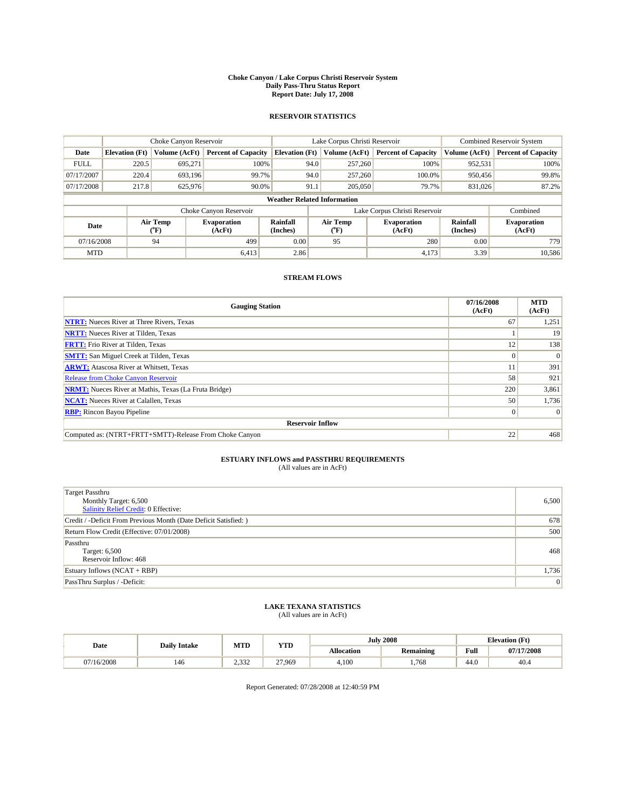#### **Choke Canyon / Lake Corpus Christi Reservoir System Daily Pass-Thru Status Report Report Date: July 17, 2008**

#### **RESERVOIR STATISTICS**

|             | Choke Canyon Reservoir             |                  |                              |                             | Lake Corpus Christi Reservoir | <b>Combined Reservoir System</b> |                      |                              |  |  |
|-------------|------------------------------------|------------------|------------------------------|-----------------------------|-------------------------------|----------------------------------|----------------------|------------------------------|--|--|
| Date        | <b>Elevation</b> (Ft)              | Volume (AcFt)    | <b>Percent of Capacity</b>   | <b>Elevation</b> (Ft)       | Volume (AcFt)                 | <b>Percent of Capacity</b>       | Volume (AcFt)        | <b>Percent of Capacity</b>   |  |  |
| <b>FULL</b> | 220.5                              | 695,271          | 100%                         | 94.0                        | 257,260                       | 100%                             | 952,531              | 100%                         |  |  |
| 07/17/2007  | 220.4                              | 693,196          | 99.7%                        | 94.0                        | 257,260                       | 100.0%                           | 950,456              | 99.8%                        |  |  |
| 07/17/2008  | 217.8                              | 625,976          | 90.0%                        | 91.1                        | 205,050                       | 79.7%                            | 831,026              | 87.2%                        |  |  |
|             | <b>Weather Related Information</b> |                  |                              |                             |                               |                                  |                      |                              |  |  |
|             |                                    |                  | Choke Canyon Reservoir       |                             |                               | Lake Corpus Christi Reservoir    |                      | Combined                     |  |  |
| Date        |                                    | Air Temp<br>(°F) | <b>Evaporation</b><br>(AcFt) | <b>Rainfall</b><br>(Inches) | Air Temp<br>("F)              | <b>Evaporation</b><br>(AcFt)     | Rainfall<br>(Inches) | <b>Evaporation</b><br>(AcFt) |  |  |
| 07/16/2008  |                                    | 94               | 499                          | 0.00                        | 95                            | 280                              | 0.00                 | 779                          |  |  |
| <b>MTD</b>  |                                    |                  | 6,413                        | 2.86                        |                               | 4.173                            | 3.39                 | 10,586                       |  |  |

### **STREAM FLOWS**

| <b>Gauging Station</b>                                       | 07/16/2008<br>(AcFt) | <b>MTD</b><br>(AcFt) |
|--------------------------------------------------------------|----------------------|----------------------|
| <b>NTRT:</b> Nueces River at Three Rivers, Texas             | 67                   | 1,251                |
| <b>NRTT:</b> Nueces River at Tilden, Texas                   |                      | 19                   |
| <b>FRTT:</b> Frio River at Tilden, Texas                     | 12                   | 138                  |
| <b>SMTT:</b> San Miguel Creek at Tilden, Texas               |                      | $\Omega$             |
| <b>ARWT:</b> Atascosa River at Whitsett, Texas               |                      | 391                  |
| Release from Choke Canyon Reservoir                          | 58                   | 921                  |
| <b>NRMT:</b> Nueces River at Mathis, Texas (La Fruta Bridge) | 220                  | 3,861                |
| <b>NCAT:</b> Nueces River at Calallen, Texas                 | 50                   | 1,736                |
| <b>RBP:</b> Rincon Bayou Pipeline                            | $\overline{0}$       | $\Omega$             |
| <b>Reservoir Inflow</b>                                      |                      |                      |
| Computed as: (NTRT+FRTT+SMTT)-Release From Choke Canyon      | 22                   | 468                  |

# **ESTUARY INFLOWS and PASSTHRU REQUIREMENTS**<br>(All values are in AcFt)

| <b>Target Passthru</b><br>Monthly Target: 6,500<br>Salinity Relief Credit: 0 Effective: | 6,500 |
|-----------------------------------------------------------------------------------------|-------|
| Credit / -Deficit From Previous Month (Date Deficit Satisfied: )                        | 678   |
| Return Flow Credit (Effective: 07/01/2008)                                              | 500   |
| Passthru<br>Target: 6,500<br>Reservoir Inflow: 468                                      | 468   |
| Estuary Inflows (NCAT + RBP)                                                            | 1,736 |
| PassThru Surplus / -Deficit:                                                            | 0     |

## **LAKE TEXANA STATISTICS** (All values are in AcFt)

|            | <b>Daily Intake</b> | MTD   | <b>YTD</b> |                   | <b>July 2008</b> | <b>Elevation</b> (Ft)                       |            |
|------------|---------------------|-------|------------|-------------------|------------------|---------------------------------------------|------------|
| Date       |                     |       |            | <b>Allocation</b> | <b>Remaining</b> | Full<br>the contract of the contract of the | 07/17/2008 |
| 07/16/2008 | 146                 | 2.332 | 27.969     | 4.100             | .768             | 44.0                                        | 40.4       |

Report Generated: 07/28/2008 at 12:40:59 PM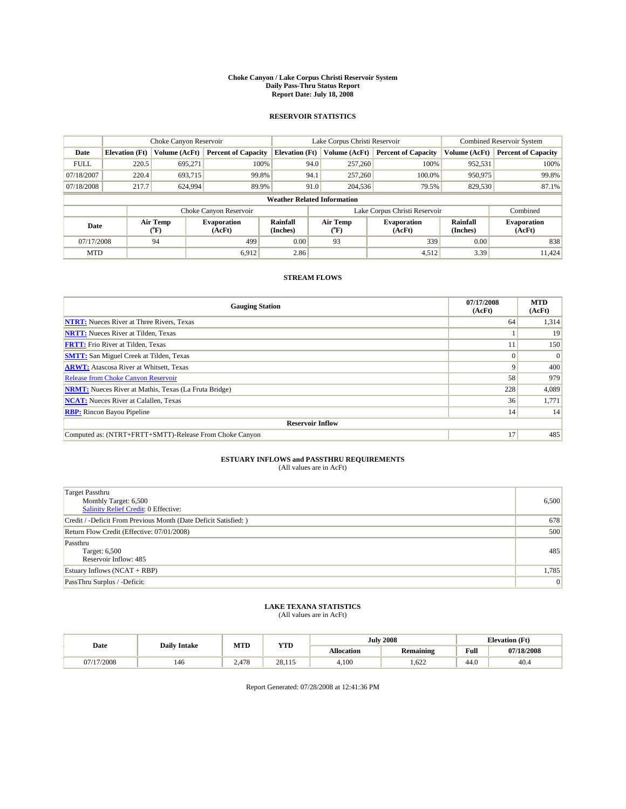#### **Choke Canyon / Lake Corpus Christi Reservoir System Daily Pass-Thru Status Report Report Date: July 18, 2008**

#### **RESERVOIR STATISTICS**

|             | Choke Canyon Reservoir             |                             |                              |                             | Lake Corpus Christi Reservoir |                  |                               |                             | <b>Combined Reservoir System</b> |  |
|-------------|------------------------------------|-----------------------------|------------------------------|-----------------------------|-------------------------------|------------------|-------------------------------|-----------------------------|----------------------------------|--|
| Date        | <b>Elevation</b> (Ft)              | Volume (AcFt)               | <b>Percent of Capacity</b>   | <b>Elevation</b> (Ft)       |                               | Volume (AcFt)    | <b>Percent of Capacity</b>    | Volume (AcFt)               | <b>Percent of Capacity</b>       |  |
| <b>FULL</b> | 220.5                              | 695,271                     | 100%                         |                             | 94.0                          | 257,260          | 100%                          | 952,531                     | 100%                             |  |
| 07/18/2007  | 220.4                              | 693,715                     | 99.8%                        |                             | 94.1                          | 257,260          | 100.0%                        | 950,975                     | 99.8%                            |  |
| 07/18/2008  | 217.7                              | 624,994                     | 89.9%                        |                             | 91.0                          | 204,536          | 79.5%                         | 829,530                     | 87.1%                            |  |
|             | <b>Weather Related Information</b> |                             |                              |                             |                               |                  |                               |                             |                                  |  |
|             |                                    |                             | Choke Canyon Reservoir       |                             |                               |                  | Lake Corpus Christi Reservoir |                             | Combined                         |  |
| Date        |                                    | Air Temp<br>${}^{\circ}$ F) | <b>Evaporation</b><br>(AcFt) | <b>Rainfall</b><br>(Inches) |                               | Air Temp<br>(°F) | <b>Evaporation</b><br>(AcFt)  | <b>Rainfall</b><br>(Inches) | <b>Evaporation</b><br>(AcFt)     |  |
| 07/17/2008  |                                    | 94                          | 499                          | 0.00                        |                               | 93               | 339                           | 0.00                        | 838                              |  |
| <b>MTD</b>  |                                    |                             | 6,912                        | 2.86                        |                               |                  | 4,512                         | 3.39                        | 11,424                           |  |

### **STREAM FLOWS**

| <b>Gauging Station</b>                                       | 07/17/2008<br>(AcFt) | <b>MTD</b><br>(AcFt) |
|--------------------------------------------------------------|----------------------|----------------------|
| <b>NTRT:</b> Nueces River at Three Rivers, Texas             | 64                   | 1,314                |
| <b>NRTT:</b> Nueces River at Tilden, Texas                   |                      | 19                   |
| <b>FRTT:</b> Frio River at Tilden, Texas                     |                      | 150                  |
| <b>SMTT:</b> San Miguel Creek at Tilden, Texas               | $\Omega$             | $\Omega$             |
| <b>ARWT:</b> Atascosa River at Whitsett, Texas               | 9                    | 400                  |
| <b>Release from Choke Canyon Reservoir</b>                   | 58                   | 979                  |
| <b>NRMT:</b> Nueces River at Mathis, Texas (La Fruta Bridge) | 228                  | 4,089                |
| <b>NCAT:</b> Nueces River at Calallen, Texas                 | 36                   | 1,771                |
| <b>RBP:</b> Rincon Bayou Pipeline                            | 14                   | 14                   |
| <b>Reservoir Inflow</b>                                      |                      |                      |
| Computed as: (NTRT+FRTT+SMTT)-Release From Choke Canyon      | 17                   | 485                  |

# **ESTUARY INFLOWS and PASSTHRU REQUIREMENTS**<br>(All values are in AcFt)

| <b>Target Passthru</b><br>Monthly Target: 6,500<br>Salinity Relief Credit: 0 Effective: | 6,500 |
|-----------------------------------------------------------------------------------------|-------|
| Credit / -Deficit From Previous Month (Date Deficit Satisfied: )                        | 678   |
| Return Flow Credit (Effective: 07/01/2008)                                              | 500   |
| Passthru<br>Target: 6,500<br>Reservoir Inflow: 485                                      | 485   |
| Estuary Inflows $(NCAT + RBP)$                                                          | 1,785 |
| PassThru Surplus / -Deficit:                                                            | 0     |

# **LAKE TEXANA STATISTICS** (All values are in AcFt)

|            | <b>Daily Intake</b> | MTD   | <b>YTD</b> |                   | <b>July 2008</b> | <b>Elevation</b> (Ft)                       |            |
|------------|---------------------|-------|------------|-------------------|------------------|---------------------------------------------|------------|
| Date       |                     |       |            | <b>Allocation</b> | <b>Remaining</b> | Full<br>the contract of the contract of the | 07/18/2008 |
| 07/17/2008 | 146                 | 2.478 | 28.115     | 4,100             | .622             | 44.0                                        | 40.4       |

Report Generated: 07/28/2008 at 12:41:36 PM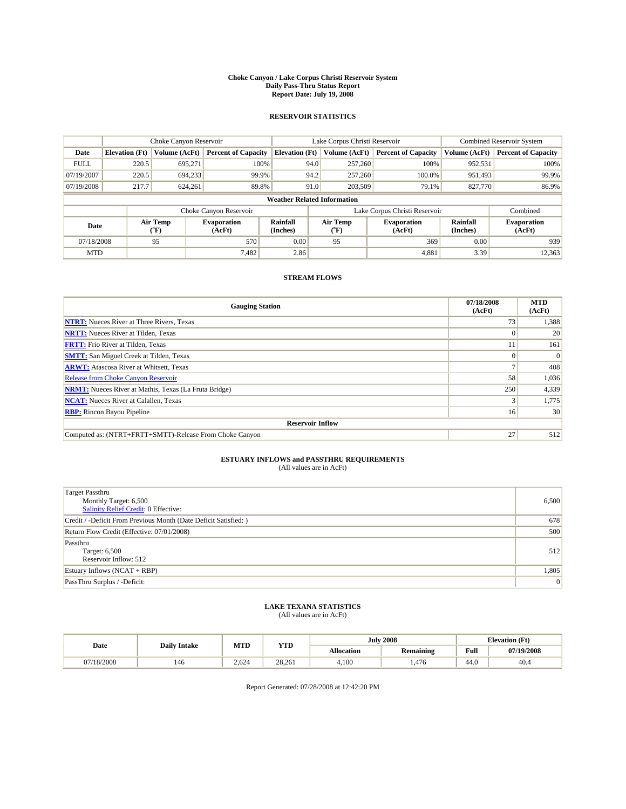#### **Choke Canyon / Lake Corpus Christi Reservoir System Daily Pass-Thru Status Report Report Date: July 19, 2008**

#### **RESERVOIR STATISTICS**

|             | Choke Canyon Reservoir             |                                           |                              |                       | Lake Corpus Christi Reservoir | <b>Combined Reservoir System</b> |                      |                              |  |
|-------------|------------------------------------|-------------------------------------------|------------------------------|-----------------------|-------------------------------|----------------------------------|----------------------|------------------------------|--|
| Date        | <b>Elevation</b> (Ft)              | Volume (AcFt)                             | <b>Percent of Capacity</b>   | <b>Elevation</b> (Ft) | Volume (AcFt)                 | <b>Percent of Capacity</b>       | Volume (AcFt)        | <b>Percent of Capacity</b>   |  |
| <b>FULL</b> | 220.5                              | 695,271                                   | 100%                         | 94.0                  | 257,260                       | 100%                             | 952,531              | 100%                         |  |
| 07/19/2007  | 220.5                              | 694,233                                   | 99.9%                        | 94.2                  | 257,260                       | 100.0%                           | 951.493              | 99.9%                        |  |
| 07/19/2008  | 217.7                              | 624,261                                   | 89.8%                        | 91.0                  | 203,509                       | 79.1%                            | 827,770              | 86.9%                        |  |
|             | <b>Weather Related Information</b> |                                           |                              |                       |                               |                                  |                      |                              |  |
|             |                                    |                                           | Choke Canyon Reservoir       |                       |                               | Lake Corpus Christi Reservoir    |                      | Combined                     |  |
| Date        |                                    | Air Temp<br>$({}^{\mathrm{o}}\mathrm{F})$ | <b>Evaporation</b><br>(AcFt) | Rainfall<br>(Inches)  | Air Temp<br>(°F)              | <b>Evaporation</b><br>(AcFt)     | Rainfall<br>(Inches) | <b>Evaporation</b><br>(AcFt) |  |
| 07/18/2008  |                                    | 95                                        | 570                          | 0.00                  | 95                            | 369                              | 0.00                 | 939                          |  |
| <b>MTD</b>  |                                    |                                           | 7,482                        | 2.86                  |                               | 4,881                            | 3.39                 | 12,363                       |  |

### **STREAM FLOWS**

| <b>Gauging Station</b>                                       | 07/18/2008<br>(AcFt) | <b>MTD</b><br>(AcFt) |  |  |  |  |  |
|--------------------------------------------------------------|----------------------|----------------------|--|--|--|--|--|
| <b>NTRT:</b> Nueces River at Three Rivers, Texas             | 73 <sub>1</sub>      | 1,388                |  |  |  |  |  |
| <b>NRTT:</b> Nueces River at Tilden, Texas                   | $\Omega$             | 20                   |  |  |  |  |  |
| <b>FRTT:</b> Frio River at Tilden, Texas                     |                      | 161                  |  |  |  |  |  |
| <b>SMTT:</b> San Miguel Creek at Tilden, Texas               |                      | $\Omega$             |  |  |  |  |  |
| <b>ARWT:</b> Atascosa River at Whitsett, Texas               |                      | 408                  |  |  |  |  |  |
| <b>Release from Choke Canyon Reservoir</b>                   | 58                   | 1,036                |  |  |  |  |  |
| <b>NRMT:</b> Nueces River at Mathis, Texas (La Fruta Bridge) | 250                  | 4,339                |  |  |  |  |  |
| <b>NCAT:</b> Nueces River at Calallen, Texas                 |                      | 1,775                |  |  |  |  |  |
| <b>RBP:</b> Rincon Bayou Pipeline                            | 16                   | 30                   |  |  |  |  |  |
| <b>Reservoir Inflow</b>                                      |                      |                      |  |  |  |  |  |
| Computed as: (NTRT+FRTT+SMTT)-Release From Choke Canyon      | 27                   | 512                  |  |  |  |  |  |

# **ESTUARY INFLOWS and PASSTHRU REQUIREMENTS**<br>(All values are in AcFt)

| <b>Target Passthru</b><br>Monthly Target: 6,500<br>Salinity Relief Credit: 0 Effective: | 6,500 |
|-----------------------------------------------------------------------------------------|-------|
| Credit / -Deficit From Previous Month (Date Deficit Satisfied: )                        | 678   |
| Return Flow Credit (Effective: 07/01/2008)                                              | 500   |
| Passthru<br>Target: 6,500<br>Reservoir Inflow: 512                                      | 512   |
| Estuary Inflows $(NCAT + RBP)$                                                          | 1,805 |
| PassThru Surplus / -Deficit:                                                            | 0     |

# **LAKE TEXANA STATISTICS** (All values are in AcFt)

|            | <b>Daily Intake</b> | MTD   | <b>YTD</b> |                   | <b>July 2008</b> | <b>Elevation</b> (Ft)                       |            |
|------------|---------------------|-------|------------|-------------------|------------------|---------------------------------------------|------------|
| Date       |                     |       |            | <b>Allocation</b> | <b>Remaining</b> | Full<br>the contract of the contract of the | 07/19/2008 |
| 07/18/2008 | 146                 | 2.624 | 28.261     | 4.100             | .476             | 44.0                                        | 40.4       |

Report Generated: 07/28/2008 at 12:42:20 PM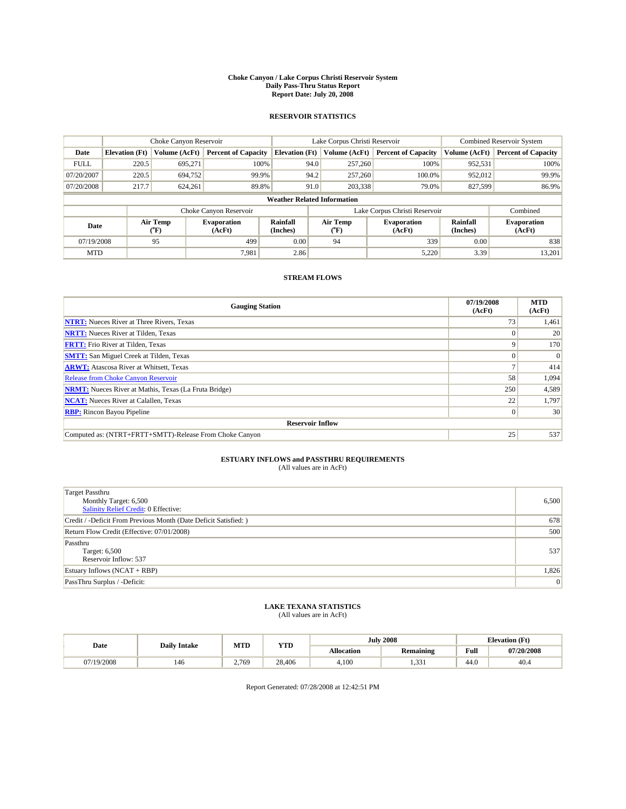#### **Choke Canyon / Lake Corpus Christi Reservoir System Daily Pass-Thru Status Report Report Date: July 20, 2008**

#### **RESERVOIR STATISTICS**

|             | Choke Canyon Reservoir             |                  |                              |                             | Lake Corpus Christi Reservoir | <b>Combined Reservoir System</b> |                             |                              |  |
|-------------|------------------------------------|------------------|------------------------------|-----------------------------|-------------------------------|----------------------------------|-----------------------------|------------------------------|--|
| Date        | <b>Elevation</b> (Ft)              | Volume (AcFt)    | <b>Percent of Capacity</b>   | <b>Elevation</b> (Ft)       | Volume (AcFt)                 | <b>Percent of Capacity</b>       | Volume (AcFt)               | <b>Percent of Capacity</b>   |  |
| <b>FULL</b> | 220.5                              | 695,271          | 100%                         | 94.0                        | 257,260                       | 100%                             | 952,531                     | 100%                         |  |
| 07/20/2007  | 220.5                              | 694,752          | 99.9%                        | 94.2                        | 257,260                       | 100.0%                           | 952,012                     | 99.9%                        |  |
| 07/20/2008  | 217.7                              | 624,261          | 89.8%                        | 91.0                        | 203,338                       | 79.0%                            | 827,599                     | 86.9%                        |  |
|             | <b>Weather Related Information</b> |                  |                              |                             |                               |                                  |                             |                              |  |
|             |                                    |                  | Choke Canyon Reservoir       |                             |                               | Lake Corpus Christi Reservoir    |                             | Combined                     |  |
| Date        |                                    | Air Temp<br>(°F) | <b>Evaporation</b><br>(AcFt) | <b>Rainfall</b><br>(Inches) | Air Temp<br>(°F)              | <b>Evaporation</b><br>(AcFt)     | <b>Rainfall</b><br>(Inches) | <b>Evaporation</b><br>(AcFt) |  |
| 07/19/2008  |                                    | 95               | 499                          | 0.00                        | 94                            | 339                              | 0.00                        | 838                          |  |
| <b>MTD</b>  |                                    |                  | 7.981                        | 2.86                        |                               | 5,220                            | 3.39                        | 13,201                       |  |

### **STREAM FLOWS**

| <b>Gauging Station</b>                                       | 07/19/2008<br>(AcFt) | <b>MTD</b><br>(AcFt) |  |  |  |  |  |
|--------------------------------------------------------------|----------------------|----------------------|--|--|--|--|--|
| <b>NTRT:</b> Nueces River at Three Rivers, Texas             | 73                   | 1,461                |  |  |  |  |  |
| <b>NRTT:</b> Nueces River at Tilden, Texas                   |                      | 20                   |  |  |  |  |  |
| <b>FRTT:</b> Frio River at Tilden, Texas                     | 9                    | 170                  |  |  |  |  |  |
| <b>SMTT:</b> San Miguel Creek at Tilden, Texas               |                      | $\Omega$             |  |  |  |  |  |
| <b>ARWT:</b> Atascosa River at Whitsett, Texas               |                      | 414                  |  |  |  |  |  |
| <b>Release from Choke Canyon Reservoir</b>                   | 58                   | 1,094                |  |  |  |  |  |
| <b>NRMT:</b> Nueces River at Mathis, Texas (La Fruta Bridge) | 250                  | 4,589                |  |  |  |  |  |
| <b>NCAT:</b> Nueces River at Calallen, Texas                 | 22                   | 1,797                |  |  |  |  |  |
| <b>RBP:</b> Rincon Bayou Pipeline                            | $\vert 0 \vert$      | 30                   |  |  |  |  |  |
| <b>Reservoir Inflow</b>                                      |                      |                      |  |  |  |  |  |
| Computed as: (NTRT+FRTT+SMTT)-Release From Choke Canyon      | 25                   | 537                  |  |  |  |  |  |

# **ESTUARY INFLOWS and PASSTHRU REQUIREMENTS**<br>(All values are in AcFt)

| <b>Target Passthru</b><br>Monthly Target: 6,500<br>Salinity Relief Credit: 0 Effective: | 6,500 |
|-----------------------------------------------------------------------------------------|-------|
| Credit / -Deficit From Previous Month (Date Deficit Satisfied: )                        | 678   |
| Return Flow Credit (Effective: 07/01/2008)                                              | 500   |
| Passthru<br>Target: 6,500<br>Reservoir Inflow: 537                                      | 537   |
| Estuary Inflows $(NCAT + RBP)$                                                          | 1,826 |
| PassThru Surplus / -Deficit:                                                            | 0     |

# **LAKE TEXANA STATISTICS** (All values are in AcFt)

|            | <b>Daily Intake</b> | MTD   | <b>YTD</b> |                   | <b>July 2008</b> | <b>Elevation</b> (Ft)                       |            |
|------------|---------------------|-------|------------|-------------------|------------------|---------------------------------------------|------------|
| Date       |                     |       |            | <b>Allocation</b> | <b>Remaining</b> | Full<br>the contract of the contract of the | 07/20/2008 |
| 07/19/2008 | 146                 | 2.769 | 28,406     | 4.100             | 331<br>، دد.     | 44.0                                        | 40.4       |

Report Generated: 07/28/2008 at 12:42:51 PM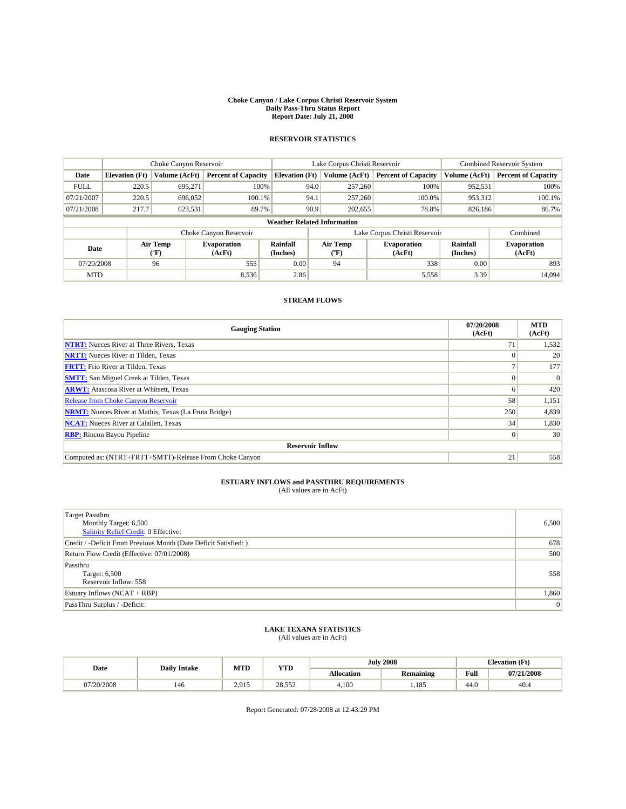#### **Choke Canyon / Lake Corpus Christi Reservoir System Daily Pass-Thru Status Report Report Date: July 21, 2008**

### **RESERVOIR STATISTICS**

|                                    | Choke Canyon Reservoir |                  |                              |                       | Lake Corpus Christi Reservoir |                                  |                               |                      | <b>Combined Reservoir System</b> |  |
|------------------------------------|------------------------|------------------|------------------------------|-----------------------|-------------------------------|----------------------------------|-------------------------------|----------------------|----------------------------------|--|
| Date                               | <b>Elevation</b> (Ft)  | Volume (AcFt)    | <b>Percent of Capacity</b>   | <b>Elevation</b> (Ft) |                               | Volume (AcFt)                    | <b>Percent of Capacity</b>    | Volume (AcFt)        | <b>Percent of Capacity</b>       |  |
| <b>FULL</b>                        | 220.5                  | 695.271          | 100%                         |                       | 94.0                          | 257,260                          | 100%                          | 952,531              | 100%                             |  |
| 07/21/2007                         | 220.5                  | 696,052          | 100.1%                       |                       | 94.1                          | 257,260                          | 100.0%                        | 953,312              | 100.1%                           |  |
| 07/21/2008                         | 217.7                  | 623,531          | 89.7%                        |                       | 90.9                          | 202,655                          | 78.8%                         | 826,186              | 86.7%                            |  |
| <b>Weather Related Information</b> |                        |                  |                              |                       |                               |                                  |                               |                      |                                  |  |
|                                    |                        |                  | Choke Canyon Reservoir       |                       |                               |                                  | Lake Corpus Christi Reservoir |                      | Combined                         |  |
| Date                               |                        | Air Temp<br>(°F) | <b>Evaporation</b><br>(AcFt) | Rainfall<br>(Inches)  |                               | <b>Air Temp</b><br>$(^{\circ}F)$ | <b>Evaporation</b><br>(AcFt)  | Rainfall<br>(Inches) | <b>Evaporation</b><br>(AcFt)     |  |
| 07/20/2008                         |                        | 96               | 555                          | 0.00                  |                               | 94                               | 338                           | 0.00                 | 893                              |  |
| <b>MTD</b>                         |                        |                  | 8,536                        | 2.86                  |                               |                                  | 5,558                         | 3.39                 | 14,094                           |  |

### **STREAM FLOWS**

| <b>Gauging Station</b>                                       | 07/20/2008<br>(AcFt) | <b>MTD</b><br>(AcFt) |  |  |  |  |
|--------------------------------------------------------------|----------------------|----------------------|--|--|--|--|
| <b>NTRT:</b> Nueces River at Three Rivers, Texas             | 71                   | 1,532                |  |  |  |  |
| <b>NRTT:</b> Nueces River at Tilden, Texas                   |                      | 20                   |  |  |  |  |
| <b>FRTT:</b> Frio River at Tilden, Texas                     |                      | 177                  |  |  |  |  |
| <b>SMTT:</b> San Miguel Creek at Tilden, Texas               |                      | $\vert 0 \vert$      |  |  |  |  |
| <b>ARWT:</b> Atascosa River at Whitsett, Texas               | n                    | 420                  |  |  |  |  |
| <b>Release from Choke Canyon Reservoir</b>                   | 58                   | 1,151                |  |  |  |  |
| <b>NRMT:</b> Nueces River at Mathis, Texas (La Fruta Bridge) | 250                  | 4,839                |  |  |  |  |
| <b>NCAT:</b> Nueces River at Calallen, Texas                 | 34                   | 1,830                |  |  |  |  |
| <b>RBP:</b> Rincon Bayou Pipeline                            | $\Omega$             | 30                   |  |  |  |  |
| <b>Reservoir Inflow</b>                                      |                      |                      |  |  |  |  |
| Computed as: (NTRT+FRTT+SMTT)-Release From Choke Canyon      | 21                   | 558                  |  |  |  |  |

## **ESTUARY INFLOWS and PASSTHRU REQUIREMENTS**<br>(All values are in AcFt)

| <b>Target Passthru</b><br>Monthly Target: 6,500<br>Salinity Relief Credit: 0 Effective: | 6,500 |
|-----------------------------------------------------------------------------------------|-------|
| Credit / -Deficit From Previous Month (Date Deficit Satisfied: )                        | 678   |
| Return Flow Credit (Effective: 07/01/2008)                                              | 500   |
| Passthru<br>Target: 6,500<br>Reservoir Inflow: 558                                      | 558   |
| Estuary Inflows $(NCAT + RBP)$                                                          | 1,860 |
| PassThru Surplus / -Deficit:                                                            | 0     |

# **LAKE TEXANA STATISTICS** (All values are in AcFt)

| Date     | <b>Daily Intake</b> | MTD            | YTD    |                   | <b>July 2008</b> | <b>Elevation</b> (Ft) |            |
|----------|---------------------|----------------|--------|-------------------|------------------|-----------------------|------------|
|          |                     |                |        | <b>Allocation</b> | <b>Remaining</b> | Full                  | 07/21/2008 |
| /20/2008 | 146                 | 2015<br>-4.213 | 28.552 | 4.100             | 1,185            | 44.0                  | 40.4       |

Report Generated: 07/28/2008 at 12:43:29 PM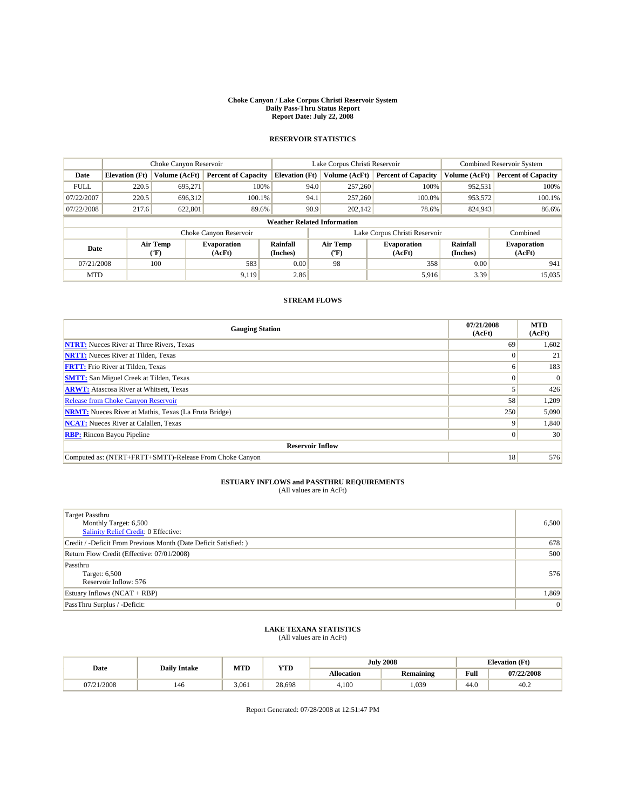#### **Choke Canyon / Lake Corpus Christi Reservoir System Daily Pass-Thru Status Report Report Date: July 22, 2008**

### **RESERVOIR STATISTICS**

|                                    | Choke Canyon Reservoir |                  |                              |                       | Lake Corpus Christi Reservoir |                         |                               |                      | Combined Reservoir System    |  |
|------------------------------------|------------------------|------------------|------------------------------|-----------------------|-------------------------------|-------------------------|-------------------------------|----------------------|------------------------------|--|
| Date                               | <b>Elevation</b> (Ft)  | Volume (AcFt)    | <b>Percent of Capacity</b>   | <b>Elevation</b> (Ft) |                               | Volume (AcFt)           | <b>Percent of Capacity</b>    | Volume (AcFt)        | <b>Percent of Capacity</b>   |  |
| <b>FULL</b>                        | 220.5                  | 695.271          | 100%                         |                       | 94.0                          | 257,260                 | 100%                          | 952,531              | 100%                         |  |
| 07/22/2007                         | 220.5                  | 696,312          | 100.1%                       |                       | 94.1                          | 257,260                 | 100.0%                        | 953,572              | 100.1%                       |  |
| 07/22/2008                         | 217.6                  | 622,801          | 89.6%                        |                       | 90.9                          | 202,142                 | 78.6%                         | 824,943              | 86.6%                        |  |
| <b>Weather Related Information</b> |                        |                  |                              |                       |                               |                         |                               |                      |                              |  |
|                                    |                        |                  | Choke Canyon Reservoir       |                       |                               |                         | Lake Corpus Christi Reservoir |                      | Combined                     |  |
| Date                               |                        | Air Temp<br>(°F) | <b>Evaporation</b><br>(AcFt) | Rainfall<br>(Inches)  |                               | <b>Air Temp</b><br>("F) | <b>Evaporation</b><br>(AcFt)  | Rainfall<br>(Inches) | <b>Evaporation</b><br>(AcFt) |  |
| 07/21/2008                         |                        | 100              | 583                          | 0.00                  |                               | 98                      | 358                           | 0.00                 | 941                          |  |
| <b>MTD</b>                         |                        |                  | 9,119                        | 2.86                  |                               |                         | 5,916                         | 3.39                 | 15,035                       |  |

### **STREAM FLOWS**

| <b>Gauging Station</b>                                       | 07/21/2008<br>(AcFt) | <b>MTD</b><br>(AcFt) |  |  |  |  |
|--------------------------------------------------------------|----------------------|----------------------|--|--|--|--|
| <b>NTRT:</b> Nueces River at Three Rivers, Texas             | 69                   | 1,602                |  |  |  |  |
| <b>NRTT:</b> Nueces River at Tilden, Texas                   |                      | 21                   |  |  |  |  |
| <b>FRTT:</b> Frio River at Tilden, Texas                     |                      | 183                  |  |  |  |  |
| <b>SMTT:</b> San Miguel Creek at Tilden, Texas               |                      | $\Omega$             |  |  |  |  |
| <b>ARWT:</b> Atascosa River at Whitsett, Texas               |                      | 426                  |  |  |  |  |
| <b>Release from Choke Canyon Reservoir</b>                   | 58                   | 1,209                |  |  |  |  |
| <b>NRMT:</b> Nueces River at Mathis, Texas (La Fruta Bridge) | 250                  | 5,090                |  |  |  |  |
| <b>NCAT:</b> Nueces River at Calallen, Texas                 |                      | 1,840                |  |  |  |  |
| <b>RBP:</b> Rincon Bayou Pipeline                            |                      | 30                   |  |  |  |  |
| <b>Reservoir Inflow</b>                                      |                      |                      |  |  |  |  |
| Computed as: (NTRT+FRTT+SMTT)-Release From Choke Canyon      | 18                   | 576                  |  |  |  |  |

## **ESTUARY INFLOWS and PASSTHRU REQUIREMENTS**<br>(All values are in AcFt)

| <b>Target Passthru</b><br>Monthly Target: 6,500<br>Salinity Relief Credit: 0 Effective: | 6,500 |
|-----------------------------------------------------------------------------------------|-------|
| Credit / -Deficit From Previous Month (Date Deficit Satisfied: )                        | 678   |
| Return Flow Credit (Effective: 07/01/2008)                                              | 500   |
| Passthru<br>Target: 6,500<br>Reservoir Inflow: 576                                      | 576   |
| Estuary Inflows $(NCAT + RBP)$                                                          | 1,869 |
| PassThru Surplus / -Deficit:                                                            | 0     |

# **LAKE TEXANA STATISTICS** (All values are in AcFt)

| Date       | <b>Daily Intake</b> | MTD   | <b>YTD</b> | <b>July 2008</b>  |           | <b>Elevation</b> (Ft) |            |
|------------|---------------------|-------|------------|-------------------|-----------|-----------------------|------------|
|            |                     |       |            | <b>Allocation</b> | Remaining | Full                  | 07/22/2008 |
| 07/21/2008 | 146                 | 3,061 | 28,698     | 4,100             | .039      | 44.0                  | 40.2       |

Report Generated: 07/28/2008 at 12:51:47 PM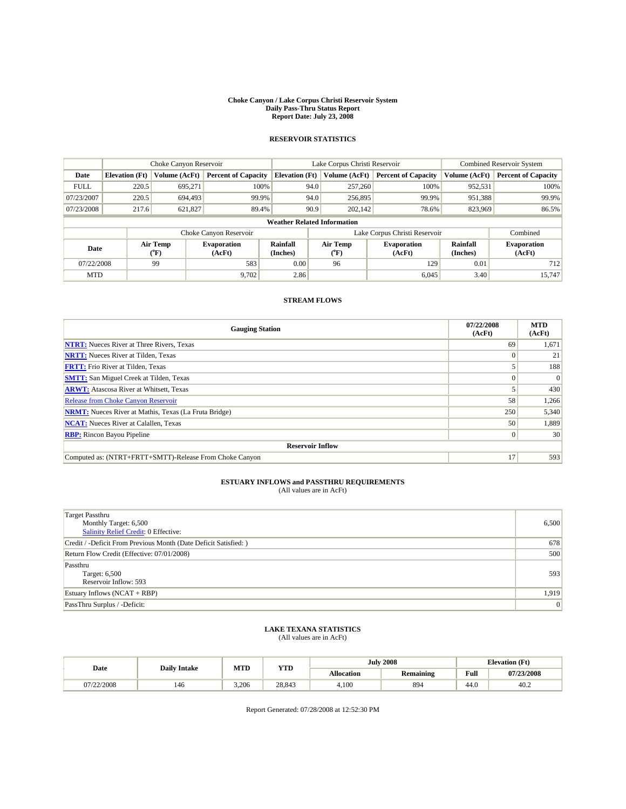#### **Choke Canyon / Lake Corpus Christi Reservoir System Daily Pass-Thru Status Report Report Date: July 23, 2008**

### **RESERVOIR STATISTICS**

|                                    | Choke Canyon Reservoir |                  | Lake Corpus Christi Reservoir |                       |      |                                  | <b>Combined Reservoir System</b> |                      |                              |
|------------------------------------|------------------------|------------------|-------------------------------|-----------------------|------|----------------------------------|----------------------------------|----------------------|------------------------------|
| Date                               | <b>Elevation</b> (Ft)  | Volume (AcFt)    | <b>Percent of Capacity</b>    | <b>Elevation</b> (Ft) |      | Volume (AcFt)                    | <b>Percent of Capacity</b>       | Volume (AcFt)        | <b>Percent of Capacity</b>   |
| <b>FULL</b>                        | 220.5                  | 695.271          | 100%                          |                       | 94.0 | 257,260                          | 100%                             | 952,531              | 100%                         |
| 07/23/2007                         | 220.5                  | 694,493          | 99.9%                         |                       | 94.0 | 256,895                          | 99.9%                            | 951,388              | 99.9%                        |
| 07/23/2008                         | 217.6                  | 621,827          | 89.4%                         |                       | 90.9 | 202,142                          | 78.6%                            | 823,969              | 86.5%                        |
| <b>Weather Related Information</b> |                        |                  |                               |                       |      |                                  |                                  |                      |                              |
|                                    |                        |                  | Choke Canyon Reservoir        |                       |      |                                  | Lake Corpus Christi Reservoir    |                      | Combined                     |
| Date                               |                        | Air Temp<br>(°F) | <b>Evaporation</b><br>(AcFt)  | Rainfall<br>(Inches)  |      | <b>Air Temp</b><br>$(^{\circ}F)$ | <b>Evaporation</b><br>(AcFt)     | Rainfall<br>(Inches) | <b>Evaporation</b><br>(AcFt) |
| 07/22/2008                         |                        | 99               | 583                           | 0.00                  |      | 96                               | 129                              | 0.01                 | 712                          |
| <b>MTD</b>                         |                        |                  | 9,702                         | 2.86                  |      |                                  | 6,045                            | 3.40                 | 15,747                       |

#### **STREAM FLOWS**

| <b>Gauging Station</b>                                       | 07/22/2008<br>(AcFt) | <b>MTD</b><br>(AcFt) |  |  |  |  |  |
|--------------------------------------------------------------|----------------------|----------------------|--|--|--|--|--|
| <b>NTRT:</b> Nueces River at Three Rivers, Texas             | 69                   | 1,671                |  |  |  |  |  |
| <b>NRTT:</b> Nueces River at Tilden, Texas                   |                      | 21                   |  |  |  |  |  |
| <b>FRTT:</b> Frio River at Tilden, Texas                     |                      | 188                  |  |  |  |  |  |
| <b>SMTT:</b> San Miguel Creek at Tilden, Texas               |                      | $\vert 0 \vert$      |  |  |  |  |  |
| <b>ARWT:</b> Atascosa River at Whitsett, Texas               |                      | 430                  |  |  |  |  |  |
| <b>Release from Choke Canyon Reservoir</b>                   | 58                   | 1,266                |  |  |  |  |  |
| <b>NRMT:</b> Nueces River at Mathis, Texas (La Fruta Bridge) | 250                  | 5,340                |  |  |  |  |  |
| <b>NCAT:</b> Nueces River at Calallen, Texas                 | 50                   | 1,889                |  |  |  |  |  |
| <b>RBP:</b> Rincon Bayou Pipeline                            | $\Omega$             | 30                   |  |  |  |  |  |
| <b>Reservoir Inflow</b>                                      |                      |                      |  |  |  |  |  |
| Computed as: (NTRT+FRTT+SMTT)-Release From Choke Canyon      | 17                   | 593                  |  |  |  |  |  |

## **ESTUARY INFLOWS and PASSTHRU REQUIREMENTS**<br>(All values are in AcFt)

| <b>Target Passthru</b><br>Monthly Target: 6,500<br>Salinity Relief Credit: 0 Effective: | 6,500 |
|-----------------------------------------------------------------------------------------|-------|
| Credit / -Deficit From Previous Month (Date Deficit Satisfied: )                        | 678   |
| Return Flow Credit (Effective: 07/01/2008)                                              | 500   |
| Passthru<br>Target: 6,500<br>Reservoir Inflow: 593                                      | 593   |
| Estuary Inflows $(NCAT + RBP)$                                                          | 1,919 |
| PassThru Surplus / -Deficit:                                                            | 0     |

# **LAKE TEXANA STATISTICS** (All values are in AcFt)

| Date     | <b>Daily Intake</b> | MTD   | <b>YTD</b> |                   | <b>July 2008</b> | <b>Elevation</b> (Ft) |            |
|----------|---------------------|-------|------------|-------------------|------------------|-----------------------|------------|
|          |                     |       |            | <b>Allocation</b> | Remaining        | Full                  | 07/23/2008 |
| /22/2008 | 146                 | 3.206 | 28.843     | 4.100             | 894              | 44.0                  | 40.2       |

Report Generated: 07/28/2008 at 12:52:30 PM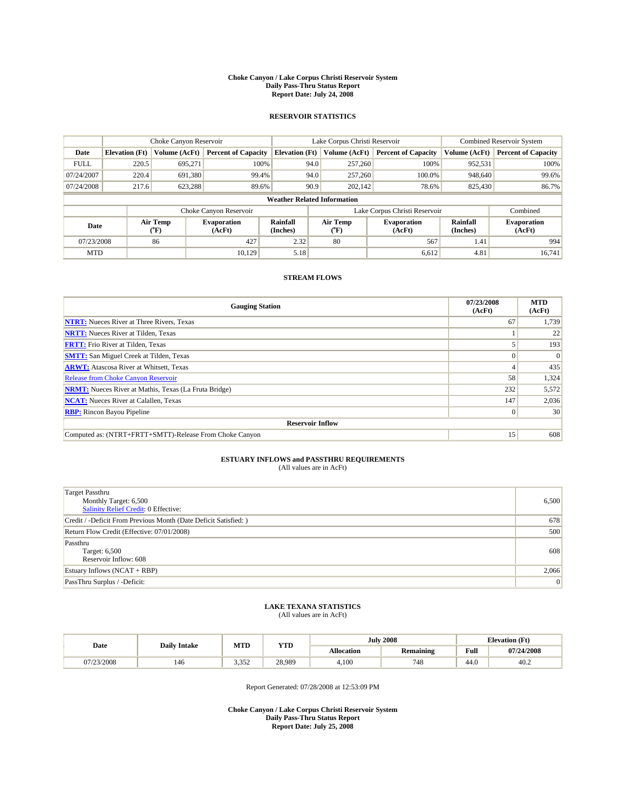#### **Choke Canyon / Lake Corpus Christi Reservoir System Daily Pass-Thru Status Report Report Date: July 24, 2008**

#### **RESERVOIR STATISTICS**

|             | Choke Canyon Reservoir             |                  |                              |                       | Lake Corpus Christi Reservoir             | <b>Combined Reservoir System</b> |                             |                              |  |
|-------------|------------------------------------|------------------|------------------------------|-----------------------|-------------------------------------------|----------------------------------|-----------------------------|------------------------------|--|
| Date        | <b>Elevation</b> (Ft)              | Volume (AcFt)    | <b>Percent of Capacity</b>   | <b>Elevation</b> (Ft) | Volume (AcFt)                             | <b>Percent of Capacity</b>       | Volume (AcFt)               | <b>Percent of Capacity</b>   |  |
| <b>FULL</b> | 220.5                              | 695,271          | 100%                         | 94.0                  | 257,260                                   | 100%                             | 952,531                     | 100%                         |  |
| 07/24/2007  | 220.4                              | 691,380          | 99.4%                        | 94.0                  | 257,260                                   | 100.0%                           | 948,640                     | 99.6%                        |  |
| 07/24/2008  | 217.6                              | 623,288          | 89.6%                        | 90.9                  | 202,142                                   | 78.6%                            | 825,430                     | 86.7%                        |  |
|             | <b>Weather Related Information</b> |                  |                              |                       |                                           |                                  |                             |                              |  |
|             |                                    |                  | Choke Canyon Reservoir       |                       |                                           | Lake Corpus Christi Reservoir    |                             | Combined                     |  |
| Date        |                                    | Air Temp<br>(°F) | <b>Evaporation</b><br>(AcFt) | Rainfall<br>(Inches)  | Air Temp<br>$({}^{\mathrm{o}}\mathrm{F})$ | <b>Evaporation</b><br>(AcFt)     | <b>Rainfall</b><br>(Inches) | <b>Evaporation</b><br>(AcFt) |  |
| 07/23/2008  |                                    | 86               | 427                          | 2.32                  | 80                                        | 567                              | 1.41                        | 994                          |  |
| <b>MTD</b>  |                                    |                  | 10.129                       | 5.18                  |                                           | 6,612                            | 4.81                        | 16.741                       |  |

### **STREAM FLOWS**

| <b>Gauging Station</b>                                       | 07/23/2008<br>(AcFt) | <b>MTD</b><br>(AcFt) |  |  |  |  |
|--------------------------------------------------------------|----------------------|----------------------|--|--|--|--|
| <b>NTRT:</b> Nueces River at Three Rivers, Texas             | 67                   | 1,739                |  |  |  |  |
| <b>NRTT:</b> Nueces River at Tilden, Texas                   |                      | 22                   |  |  |  |  |
| <b>FRTT:</b> Frio River at Tilden, Texas                     |                      | 193                  |  |  |  |  |
| <b>SMTT:</b> San Miguel Creek at Tilden, Texas               |                      | $\Omega$             |  |  |  |  |
| <b>ARWT:</b> Atascosa River at Whitsett, Texas               |                      | 435                  |  |  |  |  |
| Release from Choke Canyon Reservoir                          | 58                   | 1,324                |  |  |  |  |
| <b>NRMT:</b> Nueces River at Mathis, Texas (La Fruta Bridge) | 232                  | 5,572                |  |  |  |  |
| <b>NCAT:</b> Nueces River at Calallen, Texas                 | 147                  | 2,036                |  |  |  |  |
| <b>RBP:</b> Rincon Bayou Pipeline                            | $\Omega$             | 30                   |  |  |  |  |
| <b>Reservoir Inflow</b>                                      |                      |                      |  |  |  |  |
| Computed as: (NTRT+FRTT+SMTT)-Release From Choke Canyon      | 15                   | 608                  |  |  |  |  |

# **ESTUARY INFLOWS and PASSTHRU REQUIREMENTS**<br>(All values are in AcFt)

| Target Passthru                                                  |                 |
|------------------------------------------------------------------|-----------------|
| Monthly Target: 6,500                                            | 6,500           |
| <b>Salinity Relief Credit: 0 Effective:</b>                      |                 |
| Credit / -Deficit From Previous Month (Date Deficit Satisfied: ) | 678             |
| Return Flow Credit (Effective: 07/01/2008)                       | 500             |
| Passthru                                                         |                 |
| Target: 6,500                                                    | 608             |
| Reservoir Inflow: 608                                            |                 |
| Estuary Inflows (NCAT + RBP)                                     | 2,066           |
| PassThru Surplus / -Deficit:                                     | $\vert 0 \vert$ |

# **LAKE TEXANA STATISTICS** (All values are in AcFt)

| Date       | <b>Daily Intake</b> | MTD            | <b>YTD</b> |                   | <b>July 2008</b> | <b>Elevation</b> (Ft) |            |
|------------|---------------------|----------------|------------|-------------------|------------------|-----------------------|------------|
|            |                     |                |            | <b>Allocation</b> | <b>Remaining</b> | Full                  | 07/24/2008 |
| 07/23/2008 | 146                 | 350<br>ے رہے و | 28,989     | 4,100             | 748              | 44.0                  | 40.2       |

Report Generated: 07/28/2008 at 12:53:09 PM

**Choke Canyon / Lake Corpus Christi Reservoir System Daily Pass-Thru Status Report Report Date: July 25, 2008**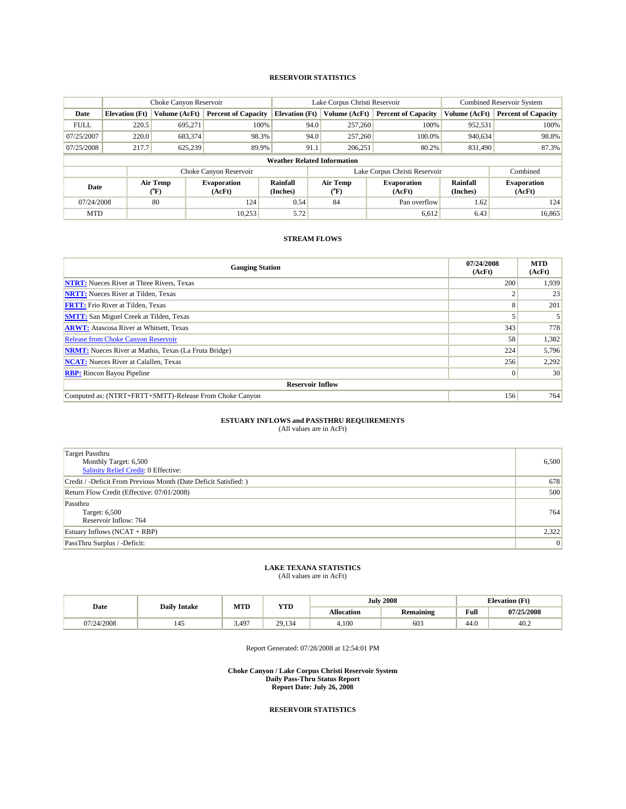#### **RESERVOIR STATISTICS**

|                                    | Choke Canyon Reservoir |                  | Lake Corpus Christi Reservoir |                       |                               |                                         | Combined Reservoir System    |                      |                              |
|------------------------------------|------------------------|------------------|-------------------------------|-----------------------|-------------------------------|-----------------------------------------|------------------------------|----------------------|------------------------------|
| Date                               | <b>Elevation</b> (Ft)  | Volume (AcFt)    | <b>Percent of Capacity</b>    | <b>Elevation</b> (Ft) |                               | Volume (AcFt)                           | <b>Percent of Capacity</b>   | Volume (AcFt)        | <b>Percent of Capacity</b>   |
| <b>FULL</b>                        | 220.5                  | 695.271          | 100%                          |                       | 94.0                          | 257,260                                 | 100%                         | 952,531              | 100%                         |
| 07/25/2007                         | 220.0                  | 683,374          | 98.3%                         |                       | 94.0                          | 257,260                                 | 100.0%                       | 940,634              | 98.8%                        |
| 07/25/2008                         | 217.7                  | 625,239          | 89.9%                         |                       | 91.1                          | 206,251                                 | 80.2%                        | 831,490              | 87.3%                        |
| <b>Weather Related Information</b> |                        |                  |                               |                       |                               |                                         |                              |                      |                              |
|                                    |                        |                  | Choke Canyon Reservoir        |                       | Lake Corpus Christi Reservoir |                                         |                              | Combined             |                              |
| Date                               |                        | Air Temp<br>(°F) | <b>Evaporation</b><br>(AcFt)  | Rainfall<br>(Inches)  |                               | <b>Air Temp</b><br>$(^{\circ}\text{F})$ | <b>Evaporation</b><br>(AcFt) | Rainfall<br>(Inches) | <b>Evaporation</b><br>(AcFt) |
| 07/24/2008                         |                        | 80               | 124                           | 0.54                  |                               | 84                                      | Pan overflow                 | 1.62                 | 124                          |
| <b>MTD</b>                         |                        |                  | 10,253                        | 5.72                  |                               |                                         | 6,612                        | 6.43                 | 16,865                       |

### **STREAM FLOWS**

| <b>Gauging Station</b>                                       | 07/24/2008<br>(AcFt) | <b>MTD</b><br>(AcFt) |  |  |  |  |  |
|--------------------------------------------------------------|----------------------|----------------------|--|--|--|--|--|
| <b>NTRT:</b> Nueces River at Three Rivers, Texas             | 200                  | 1,939                |  |  |  |  |  |
| <b>NRTT:</b> Nueces River at Tilden, Texas                   |                      | 23                   |  |  |  |  |  |
| <b>FRTT:</b> Frio River at Tilden, Texas                     |                      | 201                  |  |  |  |  |  |
| <b>SMTT:</b> San Miguel Creek at Tilden, Texas               |                      |                      |  |  |  |  |  |
| <b>ARWT:</b> Atascosa River at Whitsett, Texas               | 343                  | 778                  |  |  |  |  |  |
| <b>Release from Choke Canyon Reservoir</b>                   | 58                   | 1,382                |  |  |  |  |  |
| <b>NRMT:</b> Nueces River at Mathis, Texas (La Fruta Bridge) | 224                  | 5,796                |  |  |  |  |  |
| <b>NCAT:</b> Nueces River at Calallen, Texas                 | 256                  | 2,292                |  |  |  |  |  |
| <b>RBP:</b> Rincon Bayou Pipeline                            |                      | 30                   |  |  |  |  |  |
| <b>Reservoir Inflow</b>                                      |                      |                      |  |  |  |  |  |
| Computed as: (NTRT+FRTT+SMTT)-Release From Choke Canyon      | 156                  | 764                  |  |  |  |  |  |

#### **ESTUARY INFLOWS and PASSTHRU REQUIREMENTS**

(All values are in AcFt)

| <b>Target Passthru</b><br>Monthly Target: 6,500<br><b>Salinity Relief Credit: 0 Effective:</b> | 6,500 |
|------------------------------------------------------------------------------------------------|-------|
| Credit / -Deficit From Previous Month (Date Deficit Satisfied: )                               | 678   |
| Return Flow Credit (Effective: 07/01/2008)                                                     | 500   |
| Passthru<br>Target: 6,500<br>Reservoir Inflow: 764                                             | 764   |
| Estuary Inflows (NCAT + RBP)                                                                   | 2,322 |
| PassThru Surplus / -Deficit:                                                                   | 0     |

### **LAKE TEXANA STATISTICS**

(All values are in AcFt)

| Date       | <b>Daily Intake</b> | MTD   | <b>YTD</b> |                   | <b>July 2008</b> | <b>Elevation</b> (Ft) |            |
|------------|---------------------|-------|------------|-------------------|------------------|-----------------------|------------|
|            |                     |       |            | <b>Allocation</b> | Remaining        | <b>Full</b>           | 07/25/2008 |
| 07/24/2008 | 145                 | 3,497 | 29,134     | 4.100             | 603              | 44.0                  | 40.2       |

Report Generated: 07/28/2008 at 12:54:01 PM

**Choke Canyon / Lake Corpus Christi Reservoir System Daily Pass-Thru Status Report Report Date: July 26, 2008**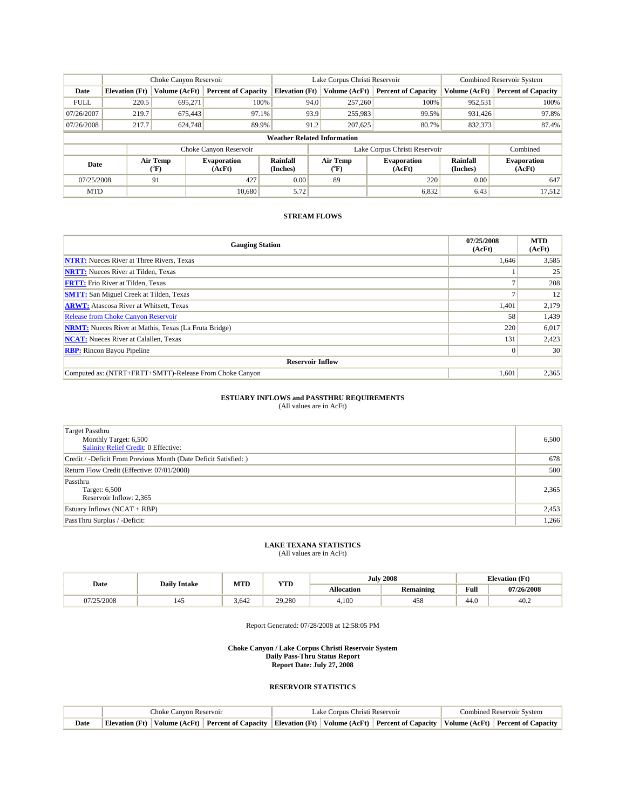|             | Choke Canyon Reservoir             |                              |                              | Lake Corpus Christi Reservoir | <b>Combined Reservoir System</b> |                       |                              |                      |                              |  |
|-------------|------------------------------------|------------------------------|------------------------------|-------------------------------|----------------------------------|-----------------------|------------------------------|----------------------|------------------------------|--|
| Date        | <b>Elevation</b> (Ft)              | Volume (AcFt)                | <b>Percent of Capacity</b>   | <b>Elevation</b> (Ft)         |                                  | Volume (AcFt)         | <b>Percent of Capacity</b>   | Volume (AcFt)        | <b>Percent of Capacity</b>   |  |
| <b>FULL</b> | 220.5                              | 695.271                      | 100%                         |                               | 94.0                             | 257,260               | 100%                         | 952,531              | 100%                         |  |
| 07/26/2007  | 219.7                              | 675,443                      | 97.1%                        |                               | 93.9                             | 255,983               | 99.5%                        | 931.426              | 97.8%                        |  |
| 07/26/2008  | 217.7                              | 624,748                      | 89.9%                        |                               | 91.2                             | 207,625               | 80.7%                        | 832,373              | 87.4%                        |  |
|             | <b>Weather Related Information</b> |                              |                              |                               |                                  |                       |                              |                      |                              |  |
|             |                                    |                              | Choke Canyon Reservoir       |                               | Lake Corpus Christi Reservoir    |                       |                              |                      | Combined                     |  |
| Date        |                                    | Air Temp<br>$(^{o}\text{F})$ | <b>Evaporation</b><br>(AcFt) | Rainfall<br>(Inches)          |                                  | Air Temp<br>$(^{o}F)$ | <b>Evaporation</b><br>(AcFt) | Rainfall<br>(Inches) | <b>Evaporation</b><br>(AcFt) |  |
| 07/25/2008  |                                    | 91                           | 427                          | 0.00                          |                                  | 89                    | 220                          | 0.00                 | 647                          |  |
| <b>MTD</b>  |                                    |                              | 10.680                       | 5.72                          |                                  |                       | 6,832                        | 6.43                 | 17,512                       |  |

| <b>Gauging Station</b>                                       | 07/25/2008<br>(AcFt) | <b>MTD</b><br>(AcFt) |
|--------------------------------------------------------------|----------------------|----------------------|
| <b>NTRT:</b> Nueces River at Three Rivers, Texas             | 1,646                | 3,585                |
| <b>NRTT:</b> Nueces River at Tilden, Texas                   |                      | 25                   |
| <b>FRTT:</b> Frio River at Tilden, Texas                     |                      | 208                  |
| <b>SMTT:</b> San Miguel Creek at Tilden, Texas               |                      | 12                   |
| <b>ARWT:</b> Atascosa River at Whitsett, Texas               | 1,401                | 2,179                |
| Release from Choke Canyon Reservoir                          | 58                   | 1,439                |
| <b>NRMT:</b> Nueces River at Mathis, Texas (La Fruta Bridge) | 220                  | 6,017                |
| <b>NCAT:</b> Nueces River at Calallen, Texas                 | 131                  | 2,423                |
| <b>RBP:</b> Rincon Bayou Pipeline                            | $\overline{0}$       | 30                   |
| <b>Reservoir Inflow</b>                                      |                      |                      |
| Computed as: (NTRT+FRTT+SMTT)-Release From Choke Canyon      | 1,601                | 2,365                |

### **ESTUARY INFLOWS and PASSTHRU REQUIREMENTS**

(All values are in AcFt)

| <b>Target Passthru</b><br>Monthly Target: 6,500<br><b>Salinity Relief Credit: 0 Effective:</b> | 6,500 |
|------------------------------------------------------------------------------------------------|-------|
| Credit / -Deficit From Previous Month (Date Deficit Satisfied: )                               | 678   |
| Return Flow Credit (Effective: 07/01/2008)                                                     | 500   |
| Passthru<br>Target: 6,500<br>Reservoir Inflow: 2,365                                           | 2,365 |
| Estuary Inflows $(NCAT + RBP)$                                                                 | 2,453 |
| PassThru Surplus / -Deficit:                                                                   | 1,266 |

#### **LAKE TEXANA STATISTICS** (All values are in AcFt)

| Date       | <b>Daily Intake</b> | MTD   | VTT    |                   | <b>July 2008</b> |                                             | <b>Elevation (Ft)</b> |
|------------|---------------------|-------|--------|-------------------|------------------|---------------------------------------------|-----------------------|
|            |                     |       | 1 I D  | <b>Allocation</b> | <b>Remaining</b> | Full<br>the contract of the contract of the | 07/26/2008            |
| 07/25/2008 | 143                 | 3,642 | 29,280 | 4,100             | 458              | 44.0                                        | 40.2                  |

Report Generated: 07/28/2008 at 12:58:05 PM

#### **Choke Canyon / Lake Corpus Christi Reservoir System Daily Pass-Thru Status Report Report Date: July 27, 2008**

|      | Choke Canvon Reservoir |  |  | Lake Corpus Christi Reservoir | <b>Combined Reservoir System</b>                                                                                                                  |  |  |
|------|------------------------|--|--|-------------------------------|---------------------------------------------------------------------------------------------------------------------------------------------------|--|--|
| Date |                        |  |  |                               | Elevation (Ft)   Volume (AcFt)   Percent of Capacity   Elevation (Ft)   Volume (AcFt)   Percent of Capacity   Volume (AcFt)   Percent of Capacity |  |  |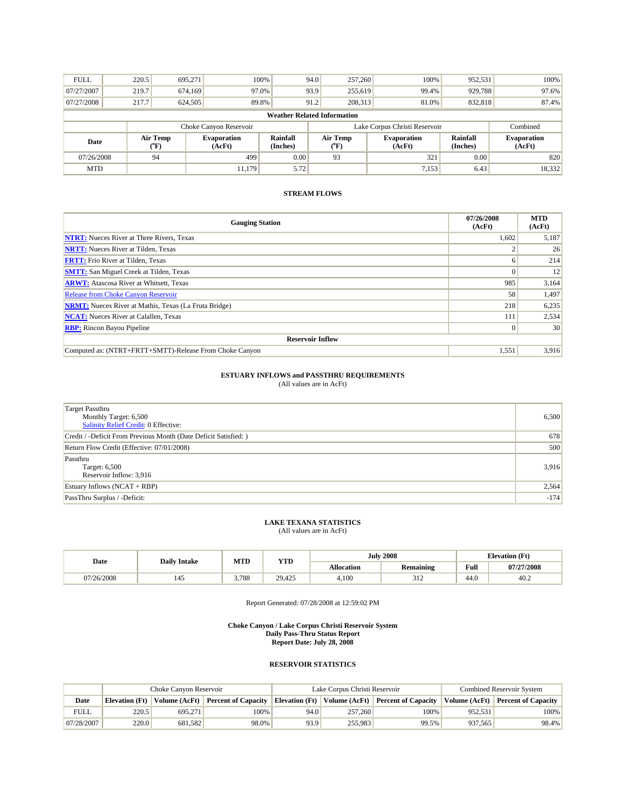| <b>FULL</b>                        | 220.5                  | 695.271          |                       | 100%                 | 94.0 | 257,260                       | 100%                         | 952,531              | 100%                         |
|------------------------------------|------------------------|------------------|-----------------------|----------------------|------|-------------------------------|------------------------------|----------------------|------------------------------|
| 07/27/2007                         | 219.7                  | 674,169          | 97.0%                 |                      | 93.9 | 255,619                       | 99.4%                        | 929,788              | 97.6%                        |
| 07/27/2008                         | 217.7                  | 624,505          | 89.8%                 |                      | 91.2 | 208,313                       | 81.0%                        | 832,818              | 87.4%                        |
| <b>Weather Related Information</b> |                        |                  |                       |                      |      |                               |                              |                      |                              |
|                                    | Choke Canyon Reservoir |                  |                       |                      |      | Lake Corpus Christi Reservoir | Combined                     |                      |                              |
| Date                               |                        | Air Temp<br>(°F) | Evaporation<br>(AcFt) | Rainfall<br>(Inches) |      | Air Temp<br>$(^{\circ}F)$     | <b>Evaporation</b><br>(AcFt) | Rainfall<br>(Inches) | <b>Evaporation</b><br>(AcFt) |
| 07/26/2008                         |                        | 94               | 499                   | 0.00                 |      | 93                            | 321                          | 0.00                 | 820                          |
| <b>MTD</b>                         |                        |                  | 11.179                | 5.72                 |      |                               | 7,153                        | 6.43                 | 18,332                       |

| <b>Gauging Station</b>                                       | 07/26/2008<br>(AcFt) | <b>MTD</b><br>(AcFt) |
|--------------------------------------------------------------|----------------------|----------------------|
| <b>NTRT:</b> Nueces River at Three Rivers, Texas             | 1,602                | 5,187                |
| <b>NRTT:</b> Nueces River at Tilden, Texas                   |                      | 26                   |
| <b>FRTT:</b> Frio River at Tilden, Texas                     |                      | 214                  |
| <b>SMTT:</b> San Miguel Creek at Tilden, Texas               |                      | 12                   |
| <b>ARWT:</b> Atascosa River at Whitsett, Texas               | 985                  | 3,164                |
| <b>Release from Choke Canyon Reservoir</b>                   | 58                   | 1,497                |
| <b>NRMT:</b> Nueces River at Mathis, Texas (La Fruta Bridge) | 218                  | 6,235                |
| <b>NCAT:</b> Nueces River at Calallen, Texas                 | 111                  | 2,534                |
| <b>RBP:</b> Rincon Bayou Pipeline                            |                      | 30                   |
| <b>Reservoir Inflow</b>                                      |                      |                      |
| Computed as: (NTRT+FRTT+SMTT)-Release From Choke Canyon      | 1,551                | 3,916                |

# **ESTUARY INFLOWS and PASSTHRU REQUIREMENTS**<br>(All values are in AcFt)

| <b>Target Passthru</b><br>Monthly Target: 6,500<br>Salinity Relief Credit: 0 Effective: | 6,500  |
|-----------------------------------------------------------------------------------------|--------|
| Credit / -Deficit From Previous Month (Date Deficit Satisfied: )                        | 678    |
| Return Flow Credit (Effective: 07/01/2008)                                              | 500    |
| Passthru<br>Target: 6,500<br>Reservoir Inflow: 3,916                                    | 3,916  |
| Estuary Inflows $(NCAT + RBP)$                                                          | 2,564  |
| PassThru Surplus / -Deficit:                                                            | $-174$ |

# **LAKE TEXANA STATISTICS** (All values are in AcFt)

| Date     | <b>Daily Intake</b> | MTD   | <b>YTD</b> |                                       | <b>July 2008</b>       |      | <b>Elevation</b> (Ft) |
|----------|---------------------|-------|------------|---------------------------------------|------------------------|------|-----------------------|
|          |                     |       |            | <b>Allocation</b><br><b>Remaining</b> |                        | Full | 07/27/2008            |
| /26/2008 | 145                 | 3.788 | 29.425     | 4.100                                 | 21 <sup>o</sup><br>ے د | 44.0 | 40.2                  |

Report Generated: 07/28/2008 at 12:59:02 PM

#### **Choke Canyon / Lake Corpus Christi Reservoir System Daily Pass-Thru Status Report Report Date: July 28, 2008**

|             | Choke Canvon Reservoir |               |                            |                | Lake Corpus Christi Reservoir | <b>Combined Reservoir System</b>  |               |                            |
|-------------|------------------------|---------------|----------------------------|----------------|-------------------------------|-----------------------------------|---------------|----------------------------|
| Date        | <b>Elevation</b> (Ft)  | Volume (AcFt) | <b>Percent of Capacity</b> | Elevation (Ft) |                               | Volume (AcFt) Percent of Capacity | Volume (AcFt) | <b>Percent of Capacity</b> |
| <b>FULL</b> | 220.5                  | 695.271       | 100%                       | 94.0           | 257,260                       | 100%                              | 952.531       | 100%                       |
| 07/28/2007  | 220.0                  | 681.582       | 98.0%                      | 93.9           | 255.983                       | 99.5%                             | 937.565       | 98.4%                      |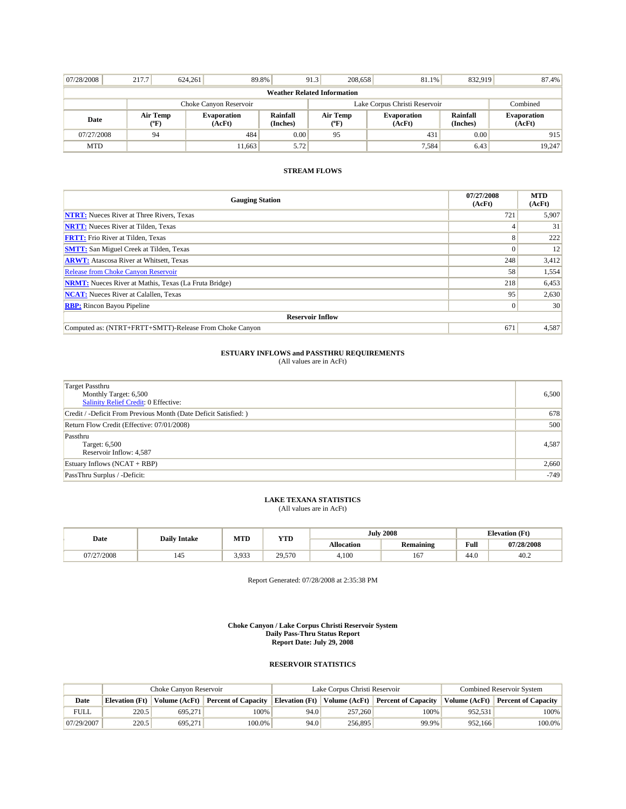| 07/28/2008             | 217.7                              | 624.261 | 89.8%                        |                      | 208,658<br>91.3                           | 81.1%                        | 832.919              | 87.4%                        |  |  |
|------------------------|------------------------------------|---------|------------------------------|----------------------|-------------------------------------------|------------------------------|----------------------|------------------------------|--|--|
|                        | <b>Weather Related Information</b> |         |                              |                      |                                           |                              |                      |                              |  |  |
| Choke Canyon Reservoir |                                    |         |                              |                      | Lake Corpus Christi Reservoir<br>Combined |                              |                      |                              |  |  |
| Date                   | Air Temp<br>("F)                   |         | <b>Evaporation</b><br>(AcFt) | Rainfall<br>(Inches) | Air Temp<br>("F)                          | <b>Evaporation</b><br>(AcFt) | Rainfall<br>(Inches) | <b>Evaporation</b><br>(AcFt) |  |  |
| 07/27/2008             | 94                                 |         | 484                          | 0.00                 | 95                                        | 431                          | 0.00                 | 915                          |  |  |
| <b>MTD</b>             |                                    |         | 11.663                       | 5.72                 |                                           | 7.584                        | 6.43                 | 19,247                       |  |  |

| <b>Gauging Station</b>                                       | 07/27/2008<br>(AcFt) | <b>MTD</b><br>(AcFt) |
|--------------------------------------------------------------|----------------------|----------------------|
| <b>NTRT:</b> Nueces River at Three Rivers, Texas             | 721                  | 5,907                |
| <b>NRTT:</b> Nueces River at Tilden, Texas                   | $\overline{4}$       | 31                   |
| <b>FRTT:</b> Frio River at Tilden, Texas                     | 8                    | 222                  |
| <b>SMTT:</b> San Miguel Creek at Tilden, Texas               | $\Omega$             | 12                   |
| <b>ARWT:</b> Atascosa River at Whitsett, Texas               | 248                  | 3,412                |
| <b>Release from Choke Canyon Reservoir</b>                   | 58                   | 1,554                |
| <b>NRMT:</b> Nueces River at Mathis, Texas (La Fruta Bridge) | 218                  | 6,453                |
| <b>NCAT:</b> Nueces River at Calallen, Texas                 | 95                   | 2,630                |
| <b>RBP:</b> Rincon Bayou Pipeline                            | $\Omega$             | 30 <sup>1</sup>      |
| <b>Reservoir Inflow</b>                                      |                      |                      |
| Computed as: (NTRT+FRTT+SMTT)-Release From Choke Canyon      | 671                  | 4,587                |

# **ESTUARY INFLOWS and PASSTHRU REQUIREMENTS**<br>(All values are in AcFt)

| Target Passthru<br>Monthly Target: 6,500<br>Salinity Relief Credit: 0 Effective: | 6,500  |
|----------------------------------------------------------------------------------|--------|
| Credit / -Deficit From Previous Month (Date Deficit Satisfied: )                 | 678    |
| Return Flow Credit (Effective: 07/01/2008)                                       | 500    |
| Passthru<br>Target: 6,500<br>Reservoir Inflow: 4,587                             | 4,587  |
| Estuary Inflows $(NCAT + RBP)$                                                   | 2,660  |
| PassThru Surplus / -Deficit:                                                     | $-749$ |

## **LAKE TEXANA STATISTICS** (All values are in AcFt)

| Date                         | <b>Daily Intake</b> | MTD              | <b>YTD</b> |                                       | <b>July 2008</b> |      | <b>Elevation</b> (Ft) |
|------------------------------|---------------------|------------------|------------|---------------------------------------|------------------|------|-----------------------|
|                              |                     |                  |            | <b>Allocation</b><br><b>Remaining</b> |                  | Full | 07/28/2008            |
| '27/2008<br>0 <i>1 1 2 1</i> | 145                 | 3 9 3 3<br>J.JJ. | 29,570     | 4.100                                 | 167              | 44.0 | 40.2                  |

Report Generated: 07/28/2008 at 2:35:38 PM

**Choke Canyon / Lake Corpus Christi Reservoir System Daily Pass-Thru Status Report Report Date: July 29, 2008** 

|             | Choke Canvon Reservoir |                        |                            |                       | Lake Corpus Christi Reservoir | <b>Combined Reservoir System</b>  |               |                            |
|-------------|------------------------|------------------------|----------------------------|-----------------------|-------------------------------|-----------------------------------|---------------|----------------------------|
| Date        | Elevation (Ft)         | $\forall$ olume (AcFt) | <b>Percent of Capacity</b> | <b>Elevation</b> (Ft) |                               | Volume (AcFt) Percent of Capacity | Volume (AcFt) | <b>Percent of Capacity</b> |
| <b>FULL</b> | 220.5                  | 695.271                | 100%                       | 94.0                  | 257,260                       | 100%                              | 952.531       | 100%                       |
| 07/29/2007  | 220.5                  | 695.271                | 100.0%                     | 94.0                  | 256,895                       | 99.9%                             | 952.166       | $100.0\%$                  |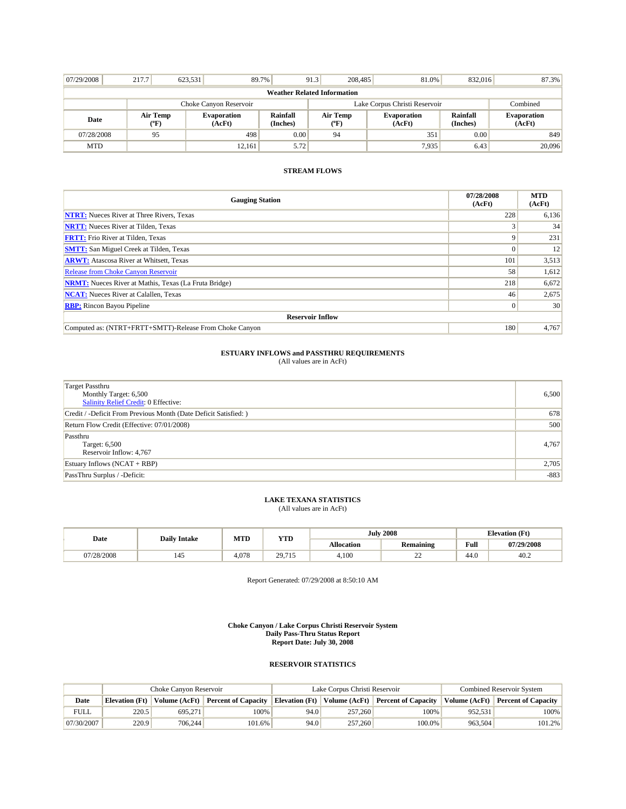| 07/29/2008                         | 217.7            | 623.531 | 89.7%                        |                      | 91.3                          | 208,485 | 81.0%                        | 832.016              | 87.3%                        |
|------------------------------------|------------------|---------|------------------------------|----------------------|-------------------------------|---------|------------------------------|----------------------|------------------------------|
| <b>Weather Related Information</b> |                  |         |                              |                      |                               |         |                              |                      |                              |
| Choke Canyon Reservoir             |                  |         |                              |                      | Lake Corpus Christi Reservoir |         |                              |                      | Combined                     |
| Date                               | Air Temp<br>(°F) |         | <b>Evaporation</b><br>(AcFt) | Rainfall<br>(Inches) | Air Temp<br>("F)              |         | <b>Evaporation</b><br>(AcFt) | Rainfall<br>(Inches) | <b>Evaporation</b><br>(AcFt) |
| 07/28/2008                         | 95               |         | 498                          | 0.00                 | 94                            |         | 351                          | 0.00                 | 849                          |
| <b>MTD</b>                         |                  |         | 12.161                       | 5.72                 |                               |         | 7.935                        | 6.43                 | 20,096                       |

| <b>Gauging Station</b>                                       | 07/28/2008<br>(AcFt) | <b>MTD</b><br>(AcFt) |
|--------------------------------------------------------------|----------------------|----------------------|
| <b>NTRT:</b> Nueces River at Three Rivers, Texas             | 228                  | 6,136                |
| <b>NRTT:</b> Nueces River at Tilden, Texas                   |                      | 34                   |
| <b>FRTT:</b> Frio River at Tilden, Texas                     | 9                    | 231                  |
| <b>SMTT:</b> San Miguel Creek at Tilden, Texas               | $\Omega$             | 12                   |
| <b>ARWT:</b> Atascosa River at Whitsett, Texas               | 101                  | 3,513                |
| <b>Release from Choke Canyon Reservoir</b>                   | 58                   | 1,612                |
| <b>NRMT:</b> Nueces River at Mathis, Texas (La Fruta Bridge) | 218                  | 6,672                |
| <b>NCAT:</b> Nueces River at Calallen, Texas                 | 46                   | 2,675                |
| <b>RBP:</b> Rincon Bayou Pipeline                            | $\Omega$             | 30 <sup>1</sup>      |
| <b>Reservoir Inflow</b>                                      |                      |                      |
| Computed as: (NTRT+FRTT+SMTT)-Release From Choke Canyon      | 180                  | 4,767                |

# **ESTUARY INFLOWS and PASSTHRU REQUIREMENTS**<br>(All values are in AcFt)

| Target Passthru<br>Monthly Target: 6,500<br>Salinity Relief Credit: 0 Effective: | 6,500  |
|----------------------------------------------------------------------------------|--------|
| Credit / -Deficit From Previous Month (Date Deficit Satisfied: )                 | 678    |
| Return Flow Credit (Effective: 07/01/2008)                                       | 500    |
| Passthru<br>Target: 6,500<br>Reservoir Inflow: 4,767                             | 4,767  |
| Estuary Inflows $(NCAT + RBP)$                                                   | 2,705  |
| PassThru Surplus / -Deficit:                                                     | $-883$ |

## **LAKE TEXANA STATISTICS** (All values are in AcFt)

| Date       | <b>Daily Intake</b> | MTD   | <b>YTD</b> |                                       | <b>July 2008</b> |      | <b>Elevation</b> (Ft) |
|------------|---------------------|-------|------------|---------------------------------------|------------------|------|-----------------------|
|            |                     |       |            | <b>Allocation</b><br><b>Remaining</b> |                  | Full | 07/29/2008            |
| 07/28/2008 | 145                 | 4.078 | 29,715     | 4,100                                 | $\sim$<br>ے ت    | 44.0 | 40.2                  |

Report Generated: 07/29/2008 at 8:50:10 AM

**Choke Canyon / Lake Corpus Christi Reservoir System Daily Pass-Thru Status Report Report Date: July 30, 2008** 

|             | Choke Canvon Reservoir |                        |                            |                       | Lake Corpus Christi Reservoir | <b>Combined Reservoir System</b>  |                        |                            |
|-------------|------------------------|------------------------|----------------------------|-----------------------|-------------------------------|-----------------------------------|------------------------|----------------------------|
| Date        | Elevation (Ft)         | $\forall$ olume (AcFt) | <b>Percent of Capacity</b> | <b>Elevation</b> (Ft) |                               | Volume (AcFt) Percent of Capacity | $\forall$ olume (AcFt) | <b>Percent of Capacity</b> |
| <b>FULL</b> | 220.5                  | 695.271                | 100%                       | 94.0                  | 257,260                       | 100%                              | 952.531                | 100%                       |
| 07/30/2007  | 220.9                  | 706.244                | 101.6%                     | 94.0                  | 257,260                       | 100.0%                            | 963.504                | $101.2\%$                  |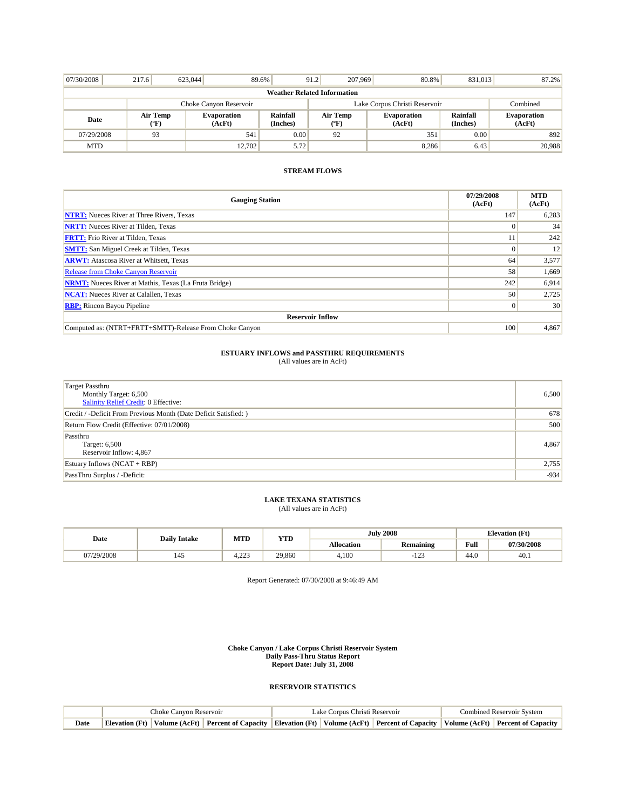| 07/30/2008                         | 217.6                  | 623,044 | 89.6%                        |                      | 207,969<br>91.2               | 80.8%                        | 831,013              | 87.2%                        |  |
|------------------------------------|------------------------|---------|------------------------------|----------------------|-------------------------------|------------------------------|----------------------|------------------------------|--|
| <b>Weather Related Information</b> |                        |         |                              |                      |                               |                              |                      |                              |  |
|                                    | Choke Canyon Reservoir |         |                              |                      | Lake Corpus Christi Reservoir | Combined                     |                      |                              |  |
| Date                               | Air Temp<br>("F)       |         | <b>Evaporation</b><br>(AcFt) | Rainfall<br>(Inches) | Air Temp<br>("F)              | <b>Evaporation</b><br>(AcFt) | Rainfall<br>(Inches) | <b>Evaporation</b><br>(AcFt) |  |
| 07/29/2008                         | 93                     |         | 541                          | 0.00                 | 92                            | 351                          | 0.00                 | 892                          |  |
| <b>MTD</b>                         |                        |         | 12.702                       | 5.72                 |                               | 8,286                        | 6.43                 | 20,988                       |  |

| <b>Gauging Station</b>                                       | 07/29/2008<br>(AcFt) | <b>MTD</b><br>(AcFt) |  |  |  |
|--------------------------------------------------------------|----------------------|----------------------|--|--|--|
| <b>NTRT:</b> Nueces River at Three Rivers, Texas             | 147                  | 6,283                |  |  |  |
| <b>NRTT:</b> Nueces River at Tilden, Texas                   | $\Omega$             | 34                   |  |  |  |
| <b>FRTT:</b> Frio River at Tilden, Texas                     | 11                   | 242                  |  |  |  |
| <b>SMTT:</b> San Miguel Creek at Tilden, Texas               | $\Omega$             | 12                   |  |  |  |
| <b>ARWT:</b> Atascosa River at Whitsett, Texas               | 64                   | 3,577                |  |  |  |
| <b>Release from Choke Canyon Reservoir</b>                   | 58                   | 1,669                |  |  |  |
| <b>NRMT:</b> Nueces River at Mathis, Texas (La Fruta Bridge) | 242                  | 6,914                |  |  |  |
| <b>NCAT:</b> Nueces River at Calallen, Texas                 | 50                   | 2,725                |  |  |  |
| <b>RBP:</b> Rincon Bayou Pipeline                            | $\Omega$             | 30 <sup>1</sup>      |  |  |  |
| <b>Reservoir Inflow</b>                                      |                      |                      |  |  |  |
| Computed as: (NTRT+FRTT+SMTT)-Release From Choke Canyon      | 100                  | 4,867                |  |  |  |

# **ESTUARY INFLOWS and PASSTHRU REQUIREMENTS**<br>(All values are in AcFt)

| Target Passthru<br>Monthly Target: 6,500<br>Salinity Relief Credit: 0 Effective: | 6,500  |
|----------------------------------------------------------------------------------|--------|
| Credit / -Deficit From Previous Month (Date Deficit Satisfied: )                 | 678    |
| Return Flow Credit (Effective: 07/01/2008)                                       | 500    |
| Passthru<br>Target: 6,500<br>Reservoir Inflow: 4,867                             | 4,867  |
| Estuary Inflows $(NCAT + RBP)$                                                   | 2,755  |
| PassThru Surplus / -Deficit:                                                     | $-934$ |

## **LAKE TEXANA STATISTICS** (All values are in AcFt)

| Date       | <b>Daily Intake</b> | MTD      | <b>YTD</b> |                   | <b>July 2008</b>        | <b>Elevation</b> (Ft) |            |
|------------|---------------------|----------|------------|-------------------|-------------------------|-----------------------|------------|
|            |                     |          |            | <b>Allocation</b> | <b>Remaining</b>        | Full                  | 07/30/2008 |
| 07/29/2008 | 145                 | ാറാ<br>. | 29,860     | 4,100             | 10 <sup>1</sup><br>-143 | 44.0                  | 40.1       |

Report Generated: 07/30/2008 at 9:46:49 AM

**Choke Canyon / Lake Corpus Christi Reservoir System Daily Pass-Thru Status Report Report Date: July 31, 2008** 

|      | Choke Canvon Reservoir |  |  | Lake Corpus Christi Reservoir | <b>Combined Reservoir System</b> |  |                                                                                                                                                   |
|------|------------------------|--|--|-------------------------------|----------------------------------|--|---------------------------------------------------------------------------------------------------------------------------------------------------|
| Date |                        |  |  |                               |                                  |  | Elevation (Ft)   Volume (AcFt)   Percent of Capacity   Elevation (Ft)   Volume (AcFt)   Percent of Capacity   Volume (AcFt)   Percent of Capacity |